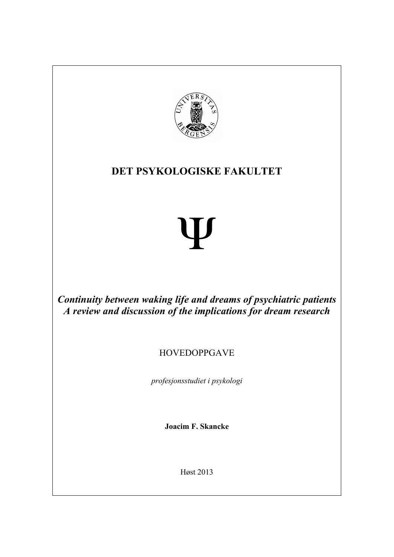

# **DET PSYKOLOGISKE FAKULTET**

# Ψ

*Continuity between waking life and dreams of psychiatric patients A review and discussion of the implications for dream research*

# HOVEDOPPGAVE

*profesjonsstudiet i psykologi*

**Joacim F. Skancke**

Høst 2013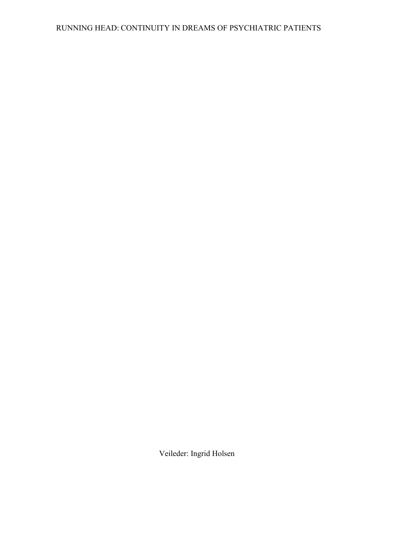# RUNNING HEAD: CONTINUITY IN DREAMS OF PSYCHIATRIC PATIENTS

Veileder: Ingrid Holsen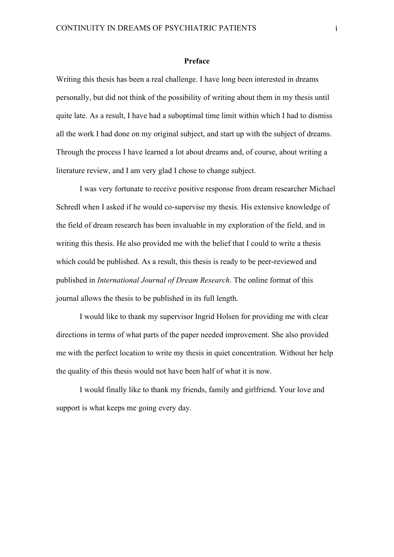#### **Preface**

Writing this thesis has been a real challenge. I have long been interested in dreams personally, but did not think of the possibility of writing about them in my thesis until quite late. As a result, I have had a suboptimal time limit within which I had to dismiss all the work I had done on my original subject, and start up with the subject of dreams. Through the process I have learned a lot about dreams and, of course, about writing a literature review, and I am very glad I chose to change subject.

I was very fortunate to receive positive response from dream researcher Michael Schredl when I asked if he would co-supervise my thesis. His extensive knowledge of the field of dream research has been invaluable in my exploration of the field, and in writing this thesis. He also provided me with the belief that I could to write a thesis which could be published. As a result, this thesis is ready to be peer-reviewed and published in *International Journal of Dream Research*. The online format of this journal allows the thesis to be published in its full length.

I would like to thank my supervisor Ingrid Holsen for providing me with clear directions in terms of what parts of the paper needed improvement. She also provided me with the perfect location to write my thesis in quiet concentration. Without her help the quality of this thesis would not have been half of what it is now.

I would finally like to thank my friends, family and girlfriend. Your love and support is what keeps me going every day.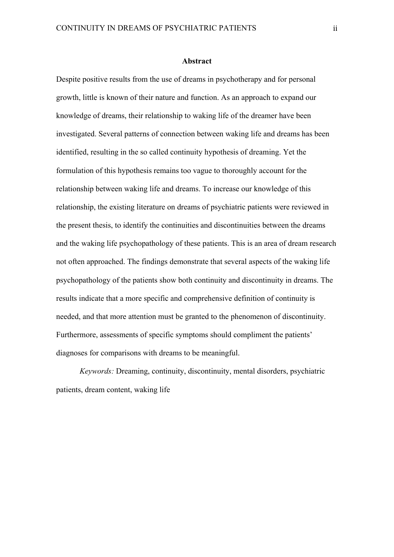#### **Abstract**

Despite positive results from the use of dreams in psychotherapy and for personal growth, little is known of their nature and function. As an approach to expand our knowledge of dreams, their relationship to waking life of the dreamer have been investigated. Several patterns of connection between waking life and dreams has been identified, resulting in the so called continuity hypothesis of dreaming. Yet the formulation of this hypothesis remains too vague to thoroughly account for the relationship between waking life and dreams. To increase our knowledge of this relationship, the existing literature on dreams of psychiatric patients were reviewed in the present thesis, to identify the continuities and discontinuities between the dreams and the waking life psychopathology of these patients. This is an area of dream research not often approached. The findings demonstrate that several aspects of the waking life psychopathology of the patients show both continuity and discontinuity in dreams. The results indicate that a more specific and comprehensive definition of continuity is needed, and that more attention must be granted to the phenomenon of discontinuity. Furthermore, assessments of specific symptoms should compliment the patients' diagnoses for comparisons with dreams to be meaningful.

*Keywords:* Dreaming, continuity, discontinuity, mental disorders, psychiatric patients, dream content, waking life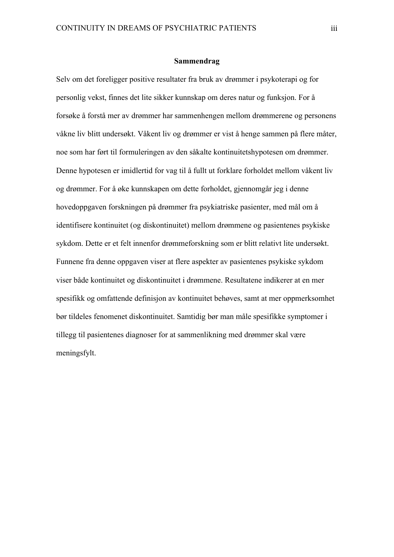#### **Sammendrag**

Selv om det foreligger positive resultater fra bruk av drømmer i psykoterapi og for personlig vekst, finnes det lite sikker kunnskap om deres natur og funksjon. For å forsøke å forstå mer av drømmer har sammenhengen mellom drømmerene og personens våkne liv blitt undersøkt. Våkent liv og drømmer er vist å henge sammen på flere måter, noe som har ført til formuleringen av den såkalte kontinuitetshypotesen om drømmer. Denne hypotesen er imidlertid for vag til å fullt ut forklare forholdet mellom våkent liv og drømmer. For å øke kunnskapen om dette forholdet, gjennomgår jeg i denne hovedoppgaven forskningen på drømmer fra psykiatriske pasienter, med mål om å identifisere kontinuitet (og diskontinuitet) mellom drømmene og pasientenes psykiske sykdom. Dette er et felt innenfor drømmeforskning som er blitt relativt lite undersøkt. Funnene fra denne oppgaven viser at flere aspekter av pasientenes psykiske sykdom viser både kontinuitet og diskontinuitet i drømmene. Resultatene indikerer at en mer spesifikk og omfattende definisjon av kontinuitet behøves, samt at mer oppmerksomhet bør tildeles fenomenet diskontinuitet. Samtidig bør man måle spesifikke symptomer i tillegg til pasientenes diagnoser for at sammenlikning med drømmer skal være meningsfylt.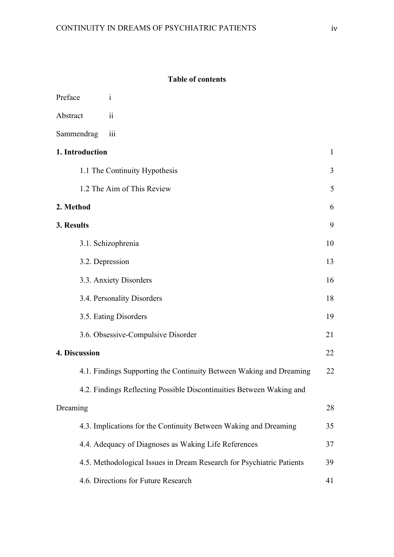# **Table of contents**

| Preface                                                          | 1                                                                     |              |
|------------------------------------------------------------------|-----------------------------------------------------------------------|--------------|
| Abstract                                                         | 11                                                                    |              |
| Sammendrag                                                       | iii                                                                   |              |
| 1. Introduction                                                  |                                                                       | $\mathbf{1}$ |
| 1.1 The Continuity Hypothesis                                    |                                                                       | 3            |
| 1.2 The Aim of This Review                                       |                                                                       | 5            |
| 2. Method                                                        |                                                                       | 6            |
| 3. Results                                                       |                                                                       | 9            |
|                                                                  | 3.1. Schizophrenia                                                    |              |
| 3.2. Depression                                                  |                                                                       | 13           |
| 3.3. Anxiety Disorders                                           |                                                                       | 16           |
| 3.4. Personality Disorders                                       |                                                                       | 18           |
| 3.5. Eating Disorders                                            |                                                                       | 19           |
|                                                                  | 3.6. Obsessive-Compulsive Disorder                                    | 21           |
| 4. Discussion                                                    |                                                                       | 22           |
|                                                                  | 4.1. Findings Supporting the Continuity Between Waking and Dreaming   | 22           |
|                                                                  | 4.2. Findings Reflecting Possible Discontinuities Between Waking and  |              |
| Dreaming                                                         |                                                                       | 28           |
| 4.3. Implications for the Continuity Between Waking and Dreaming |                                                                       | 35           |
|                                                                  | 4.4. Adequacy of Diagnoses as Waking Life References                  |              |
|                                                                  | 4.5. Methodological Issues in Dream Research for Psychiatric Patients | 39           |
|                                                                  | 4.6. Directions for Future Research                                   | 41           |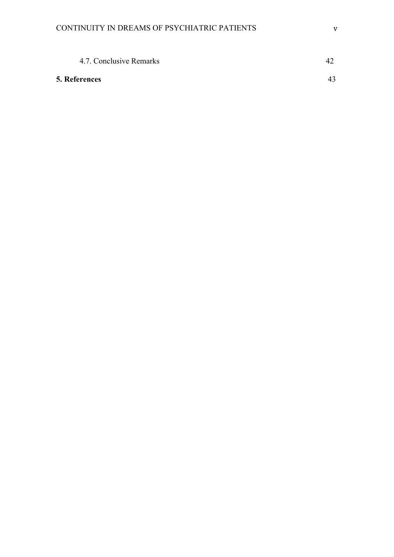| 4.7. Conclusive Remarks |    |
|-------------------------|----|
| <b>5. References</b>    | 43 |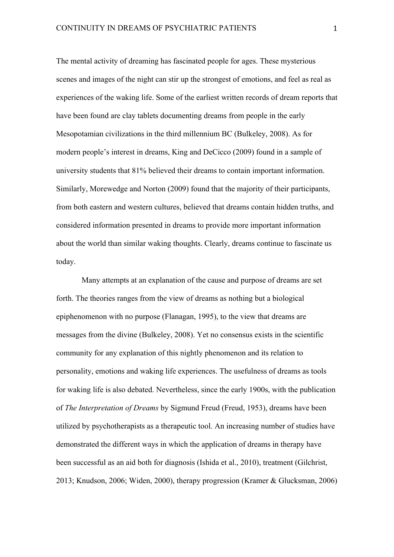The mental activity of dreaming has fascinated people for ages. These mysterious scenes and images of the night can stir up the strongest of emotions, and feel as real as experiences of the waking life. Some of the earliest written records of dream reports that have been found are clay tablets documenting dreams from people in the early Mesopotamian civilizations in the third millennium BC (Bulkeley, 2008). As for modern people's interest in dreams, King and DeCicco (2009) found in a sample of university students that 81% believed their dreams to contain important information. Similarly, Morewedge and Norton (2009) found that the majority of their participants, from both eastern and western cultures, believed that dreams contain hidden truths, and considered information presented in dreams to provide more important information about the world than similar waking thoughts. Clearly, dreams continue to fascinate us today.

Many attempts at an explanation of the cause and purpose of dreams are set forth. The theories ranges from the view of dreams as nothing but a biological epiphenomenon with no purpose (Flanagan, 1995), to the view that dreams are messages from the divine (Bulkeley, 2008). Yet no consensus exists in the scientific community for any explanation of this nightly phenomenon and its relation to personality, emotions and waking life experiences. The usefulness of dreams as tools for waking life is also debated. Nevertheless, since the early 1900s, with the publication of *The Interpretation of Dreams* by Sigmund Freud (Freud, 1953), dreams have been utilized by psychotherapists as a therapeutic tool. An increasing number of studies have demonstrated the different ways in which the application of dreams in therapy have been successful as an aid both for diagnosis (Ishida et al., 2010), treatment (Gilchrist, 2013; Knudson, 2006; Widen, 2000), therapy progression (Kramer & Glucksman, 2006)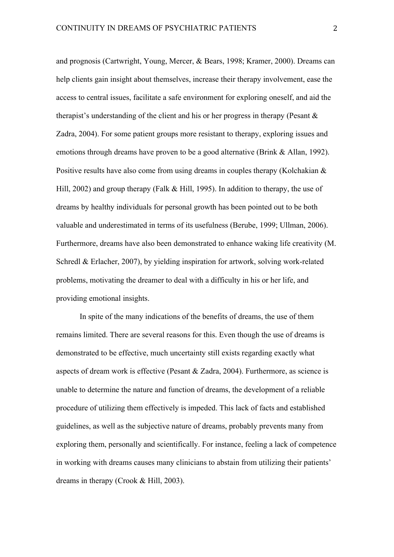and prognosis (Cartwright, Young, Mercer, & Bears, 1998; Kramer, 2000). Dreams can help clients gain insight about themselves, increase their therapy involvement, ease the access to central issues, facilitate a safe environment for exploring oneself, and aid the therapist's understanding of the client and his or her progress in therapy (Pesant  $\&$ Zadra, 2004). For some patient groups more resistant to therapy, exploring issues and emotions through dreams have proven to be a good alternative (Brink & Allan, 1992). Positive results have also come from using dreams in couples therapy (Kolchakian & Hill, 2002) and group therapy (Falk & Hill, 1995). In addition to therapy, the use of dreams by healthy individuals for personal growth has been pointed out to be both valuable and underestimated in terms of its usefulness (Berube, 1999; Ullman, 2006). Furthermore, dreams have also been demonstrated to enhance waking life creativity (M. Schredl & Erlacher, 2007), by yielding inspiration for artwork, solving work-related problems, motivating the dreamer to deal with a difficulty in his or her life, and providing emotional insights.

In spite of the many indications of the benefits of dreams, the use of them remains limited. There are several reasons for this. Even though the use of dreams is demonstrated to be effective, much uncertainty still exists regarding exactly what aspects of dream work is effective (Pesant & Zadra, 2004). Furthermore, as science is unable to determine the nature and function of dreams, the development of a reliable procedure of utilizing them effectively is impeded. This lack of facts and established guidelines, as well as the subjective nature of dreams, probably prevents many from exploring them, personally and scientifically. For instance, feeling a lack of competence in working with dreams causes many clinicians to abstain from utilizing their patients' dreams in therapy (Crook & Hill, 2003).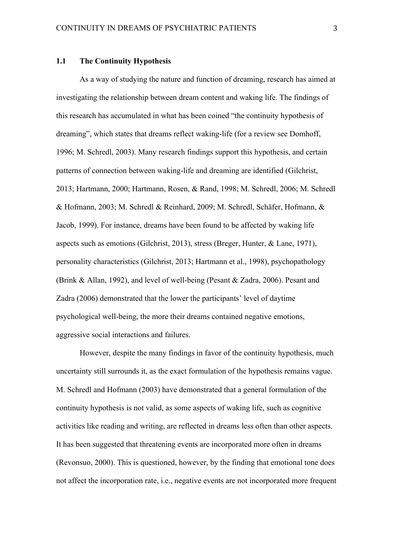#### **1.1 The Continuity Hypothesis**

As a way of studying the nature and function of dreaming, research has aimed at investigating the relationship between dream content and waking life. The findings of this research has accumulated in what has been coined "the continuity hypothesis of dreaming", which states that dreams reflect waking-life (for a review see Domhoff, 1996; M. Schredl, 2003). Many research findings support this hypothesis, and certain patterns of connection between waking-life and dreaming are identified (Gilchrist, 2013; Hartmann, 2000; Hartmann, Rosen, & Rand, 1998; M. Schredl, 2006; M. Schredl & Hofmann, 2003; M. Schredl & Reinhard, 2009; M. Schredl, Schäfer, Hofmann, & Jacob, 1999). For instance, dreams have been found to be affected by waking life aspects such as emotions (Gilchrist, 2013), stress (Breger, Hunter, & Lane, 1971), personality characteristics (Gilchrist, 2013; Hartmann et al., 1998), psychopathology (Brink & Allan, 1992), and level of well-being (Pesant & Zadra, 2006). Pesant and Zadra (2006) demonstrated that the lower the participants' level of daytime psychological well-being, the more their dreams contained negative emotions, aggressive social interactions and failures.

However, despite the many findings in favor of the continuity hypothesis, much uncertainty still surrounds it, as the exact formulation of the hypothesis remains vague. M. Schredl and Hofmann (2003) have demonstrated that a general formulation of the continuity hypothesis is not valid, as some aspects of waking life, such as cognitive activities like reading and writing, are reflected in dreams less often than other aspects. It has been suggested that threatening events are incorporated more often in dreams (Revonsuo, 2000). This is questioned, however, by the finding that emotional tone does not affect the incorporation rate, i.e., negative events are not incorporated more frequent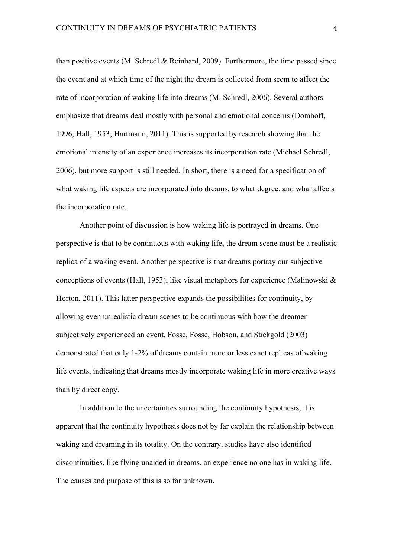than positive events (M. Schredl  $& Reinhard, 2009$ ). Furthermore, the time passed since the event and at which time of the night the dream is collected from seem to affect the rate of incorporation of waking life into dreams (M. Schredl, 2006). Several authors emphasize that dreams deal mostly with personal and emotional concerns (Domhoff, 1996; Hall, 1953; Hartmann, 2011). This is supported by research showing that the emotional intensity of an experience increases its incorporation rate (Michael Schredl, 2006), but more support is still needed. In short, there is a need for a specification of what waking life aspects are incorporated into dreams, to what degree, and what affects the incorporation rate.

Another point of discussion is how waking life is portrayed in dreams. One perspective is that to be continuous with waking life, the dream scene must be a realistic replica of a waking event. Another perspective is that dreams portray our subjective conceptions of events (Hall, 1953), like visual metaphors for experience (Malinowski & Horton, 2011). This latter perspective expands the possibilities for continuity, by allowing even unrealistic dream scenes to be continuous with how the dreamer subjectively experienced an event. Fosse, Fosse, Hobson, and Stickgold (2003) demonstrated that only 1-2% of dreams contain more or less exact replicas of waking life events, indicating that dreams mostly incorporate waking life in more creative ways than by direct copy.

In addition to the uncertainties surrounding the continuity hypothesis, it is apparent that the continuity hypothesis does not by far explain the relationship between waking and dreaming in its totality. On the contrary, studies have also identified discontinuities, like flying unaided in dreams, an experience no one has in waking life. The causes and purpose of this is so far unknown.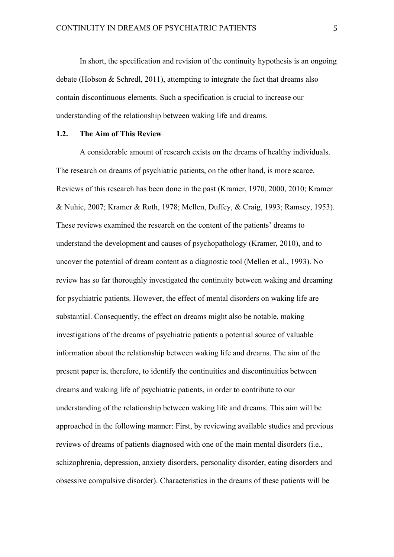In short, the specification and revision of the continuity hypothesis is an ongoing debate (Hobson  $&$  Schredl, 2011), attempting to integrate the fact that dreams also contain discontinuous elements. Such a specification is crucial to increase our understanding of the relationship between waking life and dreams.

# **1.2. The Aim of This Review**

A considerable amount of research exists on the dreams of healthy individuals. The research on dreams of psychiatric patients, on the other hand, is more scarce. Reviews of this research has been done in the past (Kramer, 1970, 2000, 2010; Kramer & Nuhic, 2007; Kramer & Roth, 1978; Mellen, Duffey, & Craig, 1993; Ramsey, 1953). These reviews examined the research on the content of the patients' dreams to understand the development and causes of psychopathology (Kramer, 2010), and to uncover the potential of dream content as a diagnostic tool (Mellen et al., 1993). No review has so far thoroughly investigated the continuity between waking and dreaming for psychiatric patients. However, the effect of mental disorders on waking life are substantial. Consequently, the effect on dreams might also be notable, making investigations of the dreams of psychiatric patients a potential source of valuable information about the relationship between waking life and dreams. The aim of the present paper is, therefore, to identify the continuities and discontinuities between dreams and waking life of psychiatric patients, in order to contribute to our understanding of the relationship between waking life and dreams. This aim will be approached in the following manner: First, by reviewing available studies and previous reviews of dreams of patients diagnosed with one of the main mental disorders (i.e., schizophrenia, depression, anxiety disorders, personality disorder, eating disorders and obsessive compulsive disorder). Characteristics in the dreams of these patients will be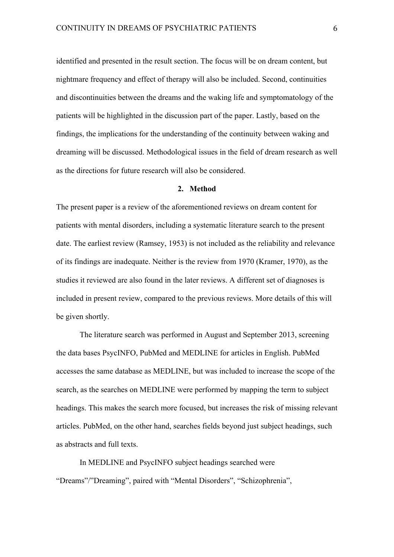identified and presented in the result section. The focus will be on dream content, but nightmare frequency and effect of therapy will also be included. Second, continuities and discontinuities between the dreams and the waking life and symptomatology of the patients will be highlighted in the discussion part of the paper. Lastly, based on the findings, the implications for the understanding of the continuity between waking and dreaming will be discussed. Methodological issues in the field of dream research as well as the directions for future research will also be considered.

#### **2. Method**

The present paper is a review of the aforementioned reviews on dream content for patients with mental disorders, including a systematic literature search to the present date. The earliest review (Ramsey, 1953) is not included as the reliability and relevance of its findings are inadequate. Neither is the review from 1970 (Kramer, 1970), as the studies it reviewed are also found in the later reviews. A different set of diagnoses is included in present review, compared to the previous reviews. More details of this will be given shortly.

The literature search was performed in August and September 2013, screening the data bases PsycINFO, PubMed and MEDLINE for articles in English. PubMed accesses the same database as MEDLINE, but was included to increase the scope of the search, as the searches on MEDLINE were performed by mapping the term to subject headings. This makes the search more focused, but increases the risk of missing relevant articles. PubMed, on the other hand, searches fields beyond just subject headings, such as abstracts and full texts.

In MEDLINE and PsycINFO subject headings searched were "Dreams"/"Dreaming", paired with "Mental Disorders", "Schizophrenia",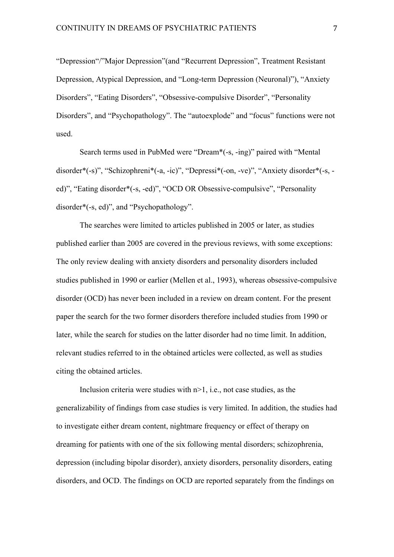"Depression"/"Major Depression"(and "Recurrent Depression", Treatment Resistant Depression, Atypical Depression, and "Long-term Depression (Neuronal)"), "Anxiety Disorders", "Eating Disorders", "Obsessive-compulsive Disorder", "Personality Disorders", and "Psychopathology". The "autoexplode" and "focus" functions were not used.

Search terms used in PubMed were "Dream\*(-s, -ing)" paired with "Mental disorder\*(-s)", "Schizophreni\*(-a, -ic)", "Depressi\*(-on, -ve)", "Anxiety disorder\*(-s, ed)", "Eating disorder\*(-s, -ed)", "OCD OR Obsessive-compulsive", "Personality disorder\*(-s, ed)", and "Psychopathology".

The searches were limited to articles published in 2005 or later, as studies published earlier than 2005 are covered in the previous reviews, with some exceptions: The only review dealing with anxiety disorders and personality disorders included studies published in 1990 or earlier (Mellen et al., 1993), whereas obsessive-compulsive disorder (OCD) has never been included in a review on dream content. For the present paper the search for the two former disorders therefore included studies from 1990 or later, while the search for studies on the latter disorder had no time limit. In addition, relevant studies referred to in the obtained articles were collected, as well as studies citing the obtained articles.

Inclusion criteria were studies with  $n>1$ , i.e., not case studies, as the generalizability of findings from case studies is very limited. In addition, the studies had to investigate either dream content, nightmare frequency or effect of therapy on dreaming for patients with one of the six following mental disorders; schizophrenia, depression (including bipolar disorder), anxiety disorders, personality disorders, eating disorders, and OCD. The findings on OCD are reported separately from the findings on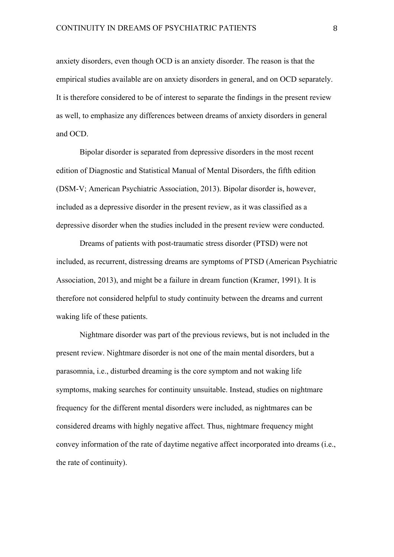anxiety disorders, even though OCD is an anxiety disorder. The reason is that the empirical studies available are on anxiety disorders in general, and on OCD separately. It is therefore considered to be of interest to separate the findings in the present review as well, to emphasize any differences between dreams of anxiety disorders in general and OCD.

Bipolar disorder is separated from depressive disorders in the most recent edition of Diagnostic and Statistical Manual of Mental Disorders, the fifth edition (DSM-V; American Psychiatric Association, 2013). Bipolar disorder is, however, included as a depressive disorder in the present review, as it was classified as a depressive disorder when the studies included in the present review were conducted.

Dreams of patients with post-traumatic stress disorder (PTSD) were not included, as recurrent, distressing dreams are symptoms of PTSD (American Psychiatric Association, 2013), and might be a failure in dream function (Kramer, 1991). It is therefore not considered helpful to study continuity between the dreams and current waking life of these patients.

Nightmare disorder was part of the previous reviews, but is not included in the present review. Nightmare disorder is not one of the main mental disorders, but a parasomnia, i.e., disturbed dreaming is the core symptom and not waking life symptoms, making searches for continuity unsuitable. Instead, studies on nightmare frequency for the different mental disorders were included, as nightmares can be considered dreams with highly negative affect. Thus, nightmare frequency might convey information of the rate of daytime negative affect incorporated into dreams (i.e., the rate of continuity).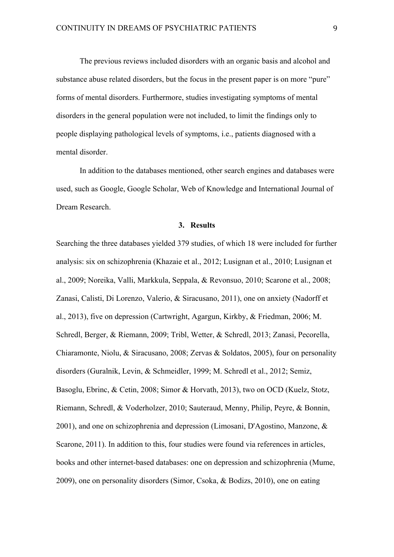The previous reviews included disorders with an organic basis and alcohol and substance abuse related disorders, but the focus in the present paper is on more "pure" forms of mental disorders. Furthermore, studies investigating symptoms of mental disorders in the general population were not included, to limit the findings only to people displaying pathological levels of symptoms, i.e., patients diagnosed with a mental disorder.

In addition to the databases mentioned, other search engines and databases were used, such as Google, Google Scholar, Web of Knowledge and International Journal of Dream Research.

#### **3. Results**

Searching the three databases yielded 379 studies, of which 18 were included for further analysis: six on schizophrenia (Khazaie et al., 2012; Lusignan et al., 2010; Lusignan et al., 2009; Noreika, Valli, Markkula, Seppala, & Revonsuo, 2010; Scarone et al., 2008; Zanasi, Calisti, Di Lorenzo, Valerio, & Siracusano, 2011), one on anxiety (Nadorff et al., 2013), five on depression (Cartwright, Agargun, Kirkby, & Friedman, 2006; M. Schredl, Berger, & Riemann, 2009; Tribl, Wetter, & Schredl, 2013; Zanasi, Pecorella, Chiaramonte, Niolu, & Siracusano, 2008; Zervas & Soldatos, 2005), four on personality disorders (Guralnik, Levin, & Schmeidler, 1999; M. Schredl et al., 2012; Semiz, Basoglu, Ebrinc, & Cetin, 2008; Simor & Horvath, 2013), two on OCD (Kuelz, Stotz, Riemann, Schredl, & Voderholzer, 2010; Sauteraud, Menny, Philip, Peyre, & Bonnin, 2001), and one on schizophrenia and depression (Limosani, D'Agostino, Manzone, & Scarone, 2011). In addition to this, four studies were found via references in articles, books and other internet-based databases: one on depression and schizophrenia (Mume, 2009), one on personality disorders (Simor, Csoka, & Bodizs, 2010), one on eating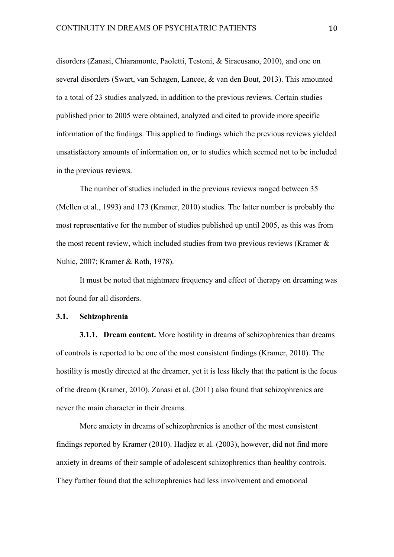disorders (Zanasi, Chiaramonte, Paoletti, Testoni, & Siracusano, 2010), and one on several disorders (Swart, van Schagen, Lancee, & van den Bout, 2013). This amounted to a total of 23 studies analyzed, in addition to the previous reviews. Certain studies published prior to 2005 were obtained, analyzed and cited to provide more specific information of the findings. This applied to findings which the previous reviews yielded unsatisfactory amounts of information on, or to studies which seemed not to be included in the previous reviews.

The number of studies included in the previous reviews ranged between 35 (Mellen et al., 1993) and 173 (Kramer, 2010) studies. The latter number is probably the most representative for the number of studies published up until 2005, as this was from the most recent review, which included studies from two previous reviews (Kramer  $\&$ Nuhic, 2007; Kramer & Roth, 1978).

It must be noted that nightmare frequency and effect of therapy on dreaming was not found for all disorders.

#### **3.1. Schizophrenia**

**3.1.1. Dream content.** More hostility in dreams of schizophrenics than dreams of controls is reported to be one of the most consistent findings (Kramer, 2010). The hostility is mostly directed at the dreamer, yet it is less likely that the patient is the focus of the dream (Kramer, 2010). Zanasi et al. (2011) also found that schizophrenics are never the main character in their dreams.

More anxiety in dreams of schizophrenics is another of the most consistent findings reported by Kramer (2010). Hadjez et al. (2003), however, did not find more anxiety in dreams of their sample of adolescent schizophrenics than healthy controls. They further found that the schizophrenics had less involvement and emotional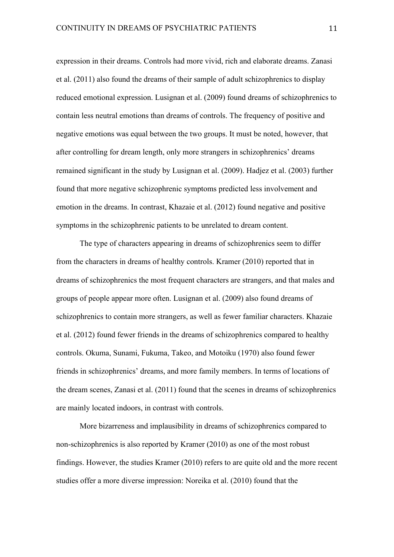expression in their dreams. Controls had more vivid, rich and elaborate dreams. Zanasi et al. (2011) also found the dreams of their sample of adult schizophrenics to display reduced emotional expression. Lusignan et al. (2009) found dreams of schizophrenics to contain less neutral emotions than dreams of controls. The frequency of positive and negative emotions was equal between the two groups. It must be noted, however, that after controlling for dream length, only more strangers in schizophrenics' dreams remained significant in the study by Lusignan et al. (2009). Hadjez et al. (2003) further found that more negative schizophrenic symptoms predicted less involvement and emotion in the dreams. In contrast, Khazaie et al. (2012) found negative and positive symptoms in the schizophrenic patients to be unrelated to dream content.

The type of characters appearing in dreams of schizophrenics seem to differ from the characters in dreams of healthy controls. Kramer (2010) reported that in dreams of schizophrenics the most frequent characters are strangers, and that males and groups of people appear more often. Lusignan et al. (2009) also found dreams of schizophrenics to contain more strangers, as well as fewer familiar characters. Khazaie et al. (2012) found fewer friends in the dreams of schizophrenics compared to healthy controls. Okuma, Sunami, Fukuma, Takeo, and Motoiku (1970) also found fewer friends in schizophrenics' dreams, and more family members. In terms of locations of the dream scenes, Zanasi et al. (2011) found that the scenes in dreams of schizophrenics are mainly located indoors, in contrast with controls.

More bizarreness and implausibility in dreams of schizophrenics compared to non-schizophrenics is also reported by Kramer (2010) as one of the most robust findings. However, the studies Kramer (2010) refers to are quite old and the more recent studies offer a more diverse impression: Noreika et al. (2010) found that the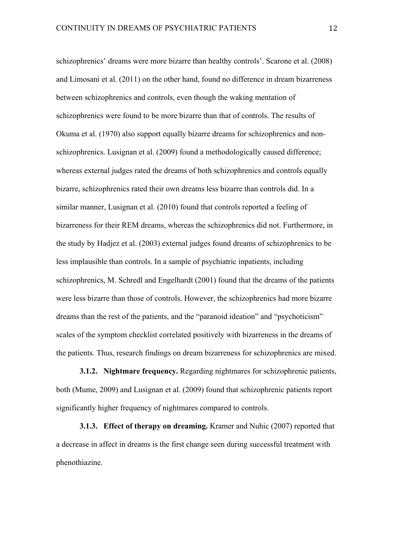schizophrenics' dreams were more bizarre than healthy controls'. Scarone et al. (2008) and Limosani et al. (2011) on the other hand, found no difference in dream bizarreness between schizophrenics and controls, even though the waking mentation of schizophrenics were found to be more bizarre than that of controls. The results of Okuma et al. (1970) also support equally bizarre dreams for schizophrenics and nonschizophrenics. Lusignan et al. (2009) found a methodologically caused difference; whereas external judges rated the dreams of both schizophrenics and controls equally bizarre, schizophrenics rated their own dreams less bizarre than controls did. In a similar manner, Lusignan et al. (2010) found that controls reported a feeling of bizarreness for their REM dreams, whereas the schizophrenics did not. Furthermore, in the study by Hadjez et al. (2003) external judges found dreams of schizophrenics to be less implausible than controls. In a sample of psychiatric inpatients, including schizophrenics, M. Schredl and Engelhardt (2001) found that the dreams of the patients were less bizarre than those of controls. However, the schizophrenics had more bizarre dreams than the rest of the patients, and the "paranoid ideation" and "psychoticism" scales of the symptom checklist correlated positively with bizarreness in the dreams of the patients. Thus, research findings on dream bizarreness for schizophrenics are mixed.

**3.1.2. Nightmare frequency.** Regarding nightmares for schizophrenic patients, both (Mume, 2009) and Lusignan et al. (2009) found that schizophrenic patients report significantly higher frequency of nightmares compared to controls.

**3.1.3. Effect of therapy on dreaming.** Kramer and Nuhic (2007) reported that a decrease in affect in dreams is the first change seen during successful treatment with phenothiazine.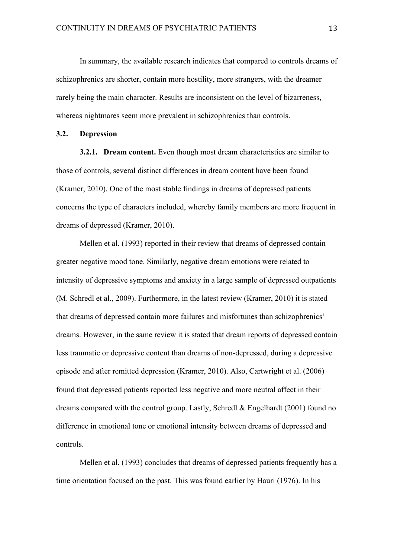In summary, the available research indicates that compared to controls dreams of schizophrenics are shorter, contain more hostility, more strangers, with the dreamer rarely being the main character. Results are inconsistent on the level of bizarreness, whereas nightmares seem more prevalent in schizophrenics than controls.

#### **3.2. Depression**

**3.2.1. Dream content.** Even though most dream characteristics are similar to those of controls, several distinct differences in dream content have been found (Kramer, 2010). One of the most stable findings in dreams of depressed patients concerns the type of characters included, whereby family members are more frequent in dreams of depressed (Kramer, 2010).

Mellen et al. (1993) reported in their review that dreams of depressed contain greater negative mood tone. Similarly, negative dream emotions were related to intensity of depressive symptoms and anxiety in a large sample of depressed outpatients (M. Schredl et al., 2009). Furthermore, in the latest review (Kramer, 2010) it is stated that dreams of depressed contain more failures and misfortunes than schizophrenics' dreams. However, in the same review it is stated that dream reports of depressed contain less traumatic or depressive content than dreams of non-depressed, during a depressive episode and after remitted depression (Kramer, 2010). Also, Cartwright et al. (2006) found that depressed patients reported less negative and more neutral affect in their dreams compared with the control group. Lastly, Schredl & Engelhardt (2001) found no difference in emotional tone or emotional intensity between dreams of depressed and controls.

Mellen et al. (1993) concludes that dreams of depressed patients frequently has a time orientation focused on the past. This was found earlier by Hauri (1976). In his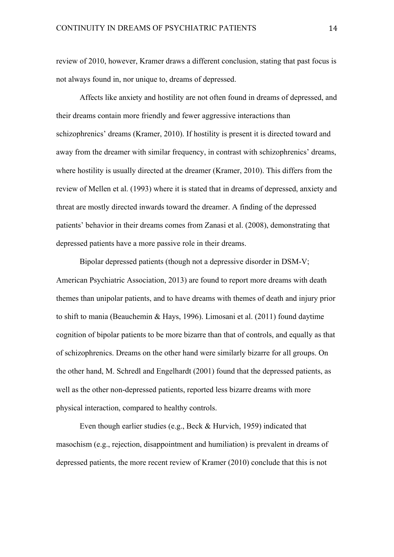review of 2010, however, Kramer draws a different conclusion, stating that past focus is not always found in, nor unique to, dreams of depressed.

Affects like anxiety and hostility are not often found in dreams of depressed, and their dreams contain more friendly and fewer aggressive interactions than schizophrenics' dreams (Kramer, 2010). If hostility is present it is directed toward and away from the dreamer with similar frequency, in contrast with schizophrenics' dreams, where hostility is usually directed at the dreamer (Kramer, 2010). This differs from the review of Mellen et al. (1993) where it is stated that in dreams of depressed, anxiety and threat are mostly directed inwards toward the dreamer. A finding of the depressed patients' behavior in their dreams comes from Zanasi et al. (2008), demonstrating that depressed patients have a more passive role in their dreams.

Bipolar depressed patients (though not a depressive disorder in DSM-V; American Psychiatric Association, 2013) are found to report more dreams with death themes than unipolar patients, and to have dreams with themes of death and injury prior to shift to mania (Beauchemin & Hays, 1996). Limosani et al. (2011) found daytime cognition of bipolar patients to be more bizarre than that of controls, and equally as that of schizophrenics. Dreams on the other hand were similarly bizarre for all groups. On the other hand, M. Schredl and Engelhardt (2001) found that the depressed patients, as well as the other non-depressed patients, reported less bizarre dreams with more physical interaction, compared to healthy controls.

Even though earlier studies (e.g., Beck & Hurvich, 1959) indicated that masochism (e.g., rejection, disappointment and humiliation) is prevalent in dreams of depressed patients, the more recent review of Kramer (2010) conclude that this is not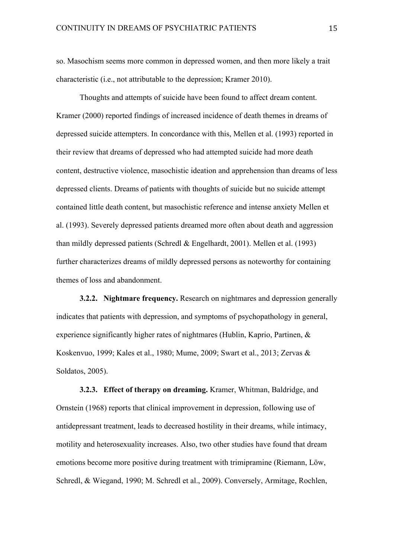so. Masochism seems more common in depressed women, and then more likely a trait characteristic (i.e., not attributable to the depression; Kramer 2010).

Thoughts and attempts of suicide have been found to affect dream content. Kramer (2000) reported findings of increased incidence of death themes in dreams of depressed suicide attempters. In concordance with this, Mellen et al. (1993) reported in their review that dreams of depressed who had attempted suicide had more death content, destructive violence, masochistic ideation and apprehension than dreams of less depressed clients. Dreams of patients with thoughts of suicide but no suicide attempt contained little death content, but masochistic reference and intense anxiety Mellen et al. (1993). Severely depressed patients dreamed more often about death and aggression than mildly depressed patients (Schredl & Engelhardt, 2001). Mellen et al. (1993) further characterizes dreams of mildly depressed persons as noteworthy for containing themes of loss and abandonment.

**3.2.2. Nightmare frequency.** Research on nightmares and depression generally indicates that patients with depression, and symptoms of psychopathology in general, experience significantly higher rates of nightmares (Hublin, Kaprio, Partinen, & Koskenvuo, 1999; Kales et al., 1980; Mume, 2009; Swart et al., 2013; Zervas & Soldatos, 2005).

**3.2.3. Effect of therapy on dreaming.** Kramer, Whitman, Baldridge, and Ornstein (1968) reports that clinical improvement in depression, following use of antidepressant treatment, leads to decreased hostility in their dreams, while intimacy, motility and heterosexuality increases. Also, two other studies have found that dream emotions become more positive during treatment with trimipramine (Riemann, Löw, Schredl, & Wiegand, 1990; M. Schredl et al., 2009). Conversely, Armitage, Rochlen,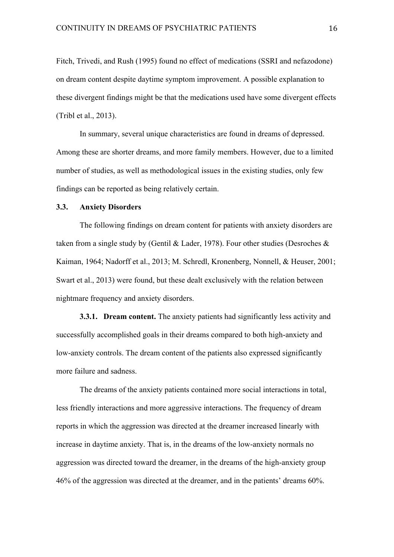Fitch, Trivedi, and Rush (1995) found no effect of medications (SSRI and nefazodone) on dream content despite daytime symptom improvement. A possible explanation to these divergent findings might be that the medications used have some divergent effects (Tribl et al., 2013).

In summary, several unique characteristics are found in dreams of depressed. Among these are shorter dreams, and more family members. However, due to a limited number of studies, as well as methodological issues in the existing studies, only few findings can be reported as being relatively certain.

# **3.3. Anxiety Disorders**

The following findings on dream content for patients with anxiety disorders are taken from a single study by (Gentil & Lader, 1978). Four other studies (Desroches  $\&$ Kaiman, 1964; Nadorff et al., 2013; M. Schredl, Kronenberg, Nonnell, & Heuser, 2001; Swart et al., 2013) were found, but these dealt exclusively with the relation between nightmare frequency and anxiety disorders.

**3.3.1. Dream content.** The anxiety patients had significantly less activity and successfully accomplished goals in their dreams compared to both high-anxiety and low-anxiety controls. The dream content of the patients also expressed significantly more failure and sadness.

The dreams of the anxiety patients contained more social interactions in total, less friendly interactions and more aggressive interactions. The frequency of dream reports in which the aggression was directed at the dreamer increased linearly with increase in daytime anxiety. That is, in the dreams of the low-anxiety normals no aggression was directed toward the dreamer, in the dreams of the high-anxiety group 46% of the aggression was directed at the dreamer, and in the patients' dreams 60%.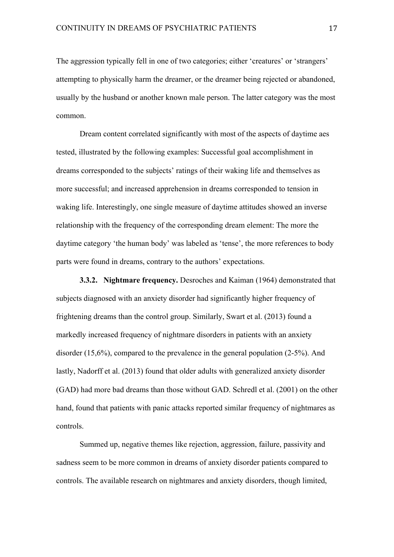The aggression typically fell in one of two categories; either 'creatures' or 'strangers' attempting to physically harm the dreamer, or the dreamer being rejected or abandoned, usually by the husband or another known male person. The latter category was the most common.

Dream content correlated significantly with most of the aspects of daytime aes tested, illustrated by the following examples: Successful goal accomplishment in dreams corresponded to the subjects' ratings of their waking life and themselves as more successful; and increased apprehension in dreams corresponded to tension in waking life. Interestingly, one single measure of daytime attitudes showed an inverse relationship with the frequency of the corresponding dream element: The more the daytime category 'the human body' was labeled as 'tense', the more references to body parts were found in dreams, contrary to the authors' expectations.

**3.3.2. Nightmare frequency.** Desroches and Kaiman (1964) demonstrated that subjects diagnosed with an anxiety disorder had significantly higher frequency of frightening dreams than the control group. Similarly, Swart et al. (2013) found a markedly increased frequency of nightmare disorders in patients with an anxiety disorder (15,6%), compared to the prevalence in the general population (2-5%). And lastly, Nadorff et al. (2013) found that older adults with generalized anxiety disorder (GAD) had more bad dreams than those without GAD. Schredl et al. (2001) on the other hand, found that patients with panic attacks reported similar frequency of nightmares as controls.

Summed up, negative themes like rejection, aggression, failure, passivity and sadness seem to be more common in dreams of anxiety disorder patients compared to controls. The available research on nightmares and anxiety disorders, though limited,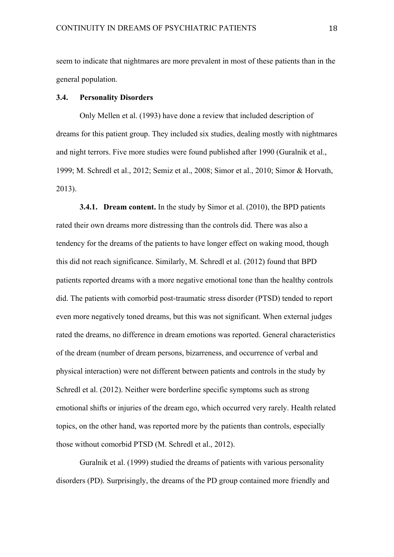seem to indicate that nightmares are more prevalent in most of these patients than in the general population.

# **3.4. Personality Disorders**

Only Mellen et al. (1993) have done a review that included description of dreams for this patient group. They included six studies, dealing mostly with nightmares and night terrors. Five more studies were found published after 1990 (Guralnik et al., 1999; M. Schredl et al., 2012; Semiz et al., 2008; Simor et al., 2010; Simor & Horvath, 2013).

**3.4.1. Dream content.** In the study by Simor et al. (2010), the BPD patients rated their own dreams more distressing than the controls did. There was also a tendency for the dreams of the patients to have longer effect on waking mood, though this did not reach significance. Similarly, M. Schredl et al. (2012) found that BPD patients reported dreams with a more negative emotional tone than the healthy controls did. The patients with comorbid post-traumatic stress disorder (PTSD) tended to report even more negatively toned dreams, but this was not significant. When external judges rated the dreams, no difference in dream emotions was reported. General characteristics of the dream (number of dream persons, bizarreness, and occurrence of verbal and physical interaction) were not different between patients and controls in the study by Schredl et al. (2012). Neither were borderline specific symptoms such as strong emotional shifts or injuries of the dream ego, which occurred very rarely. Health related topics, on the other hand, was reported more by the patients than controls, especially those without comorbid PTSD (M. Schredl et al., 2012).

Guralnik et al. (1999) studied the dreams of patients with various personality disorders (PD). Surprisingly, the dreams of the PD group contained more friendly and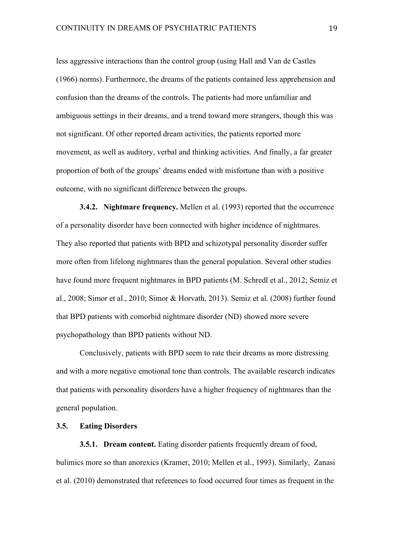less aggressive interactions than the control group (using Hall and Van de Castles (1966) norms). Furthermore, the dreams of the patients contained less apprehension and confusion than the dreams of the controls. The patients had more unfamiliar and ambiguous settings in their dreams, and a trend toward more strangers, though this was not significant. Of other reported dream activities, the patients reported more movement, as well as auditory, verbal and thinking activities. And finally, a far greater proportion of both of the groups' dreams ended with misfortune than with a positive outcome, with no significant difference between the groups.

**3.4.2. Nightmare frequency.** Mellen et al. (1993) reported that the occurrence of a personality disorder have been connected with higher incidence of nightmares. They also reported that patients with BPD and schizotypal personality disorder suffer more often from lifelong nightmares than the general population. Several other studies have found more frequent nightmares in BPD patients (M. Schredl et al., 2012; Semiz et al., 2008; Simor et al., 2010; Simor & Horvath, 2013). Semiz et al. (2008) further found that BPD patients with comorbid nightmare disorder (ND) showed more severe psychopathology than BPD patients without ND.

Conclusively, patients with BPD seem to rate their dreams as more distressing and with a more negative emotional tone than controls. The available research indicates that patients with personality disorders have a higher frequency of nightmares than the general population.

# **3.5. Eating Disorders**

**3.5.1. Dream content.** Eating disorder patients frequently dream of food, bulimics more so than anorexics (Kramer, 2010; Mellen et al., 1993). Similarly, Zanasi et al. (2010) demonstrated that references to food occurred four times as frequent in the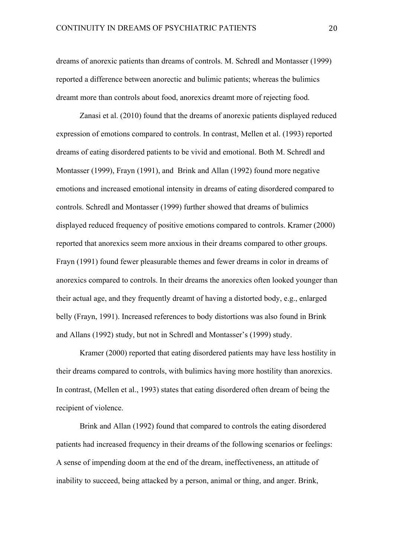dreams of anorexic patients than dreams of controls. M. Schredl and Montasser (1999) reported a difference between anorectic and bulimic patients; whereas the bulimics dreamt more than controls about food, anorexics dreamt more of rejecting food.

Zanasi et al. (2010) found that the dreams of anorexic patients displayed reduced expression of emotions compared to controls. In contrast, Mellen et al. (1993) reported dreams of eating disordered patients to be vivid and emotional. Both M. Schredl and Montasser (1999), Frayn (1991), and Brink and Allan (1992) found more negative emotions and increased emotional intensity in dreams of eating disordered compared to controls. Schredl and Montasser (1999) further showed that dreams of bulimics displayed reduced frequency of positive emotions compared to controls. Kramer (2000) reported that anorexics seem more anxious in their dreams compared to other groups. Frayn (1991) found fewer pleasurable themes and fewer dreams in color in dreams of anorexics compared to controls. In their dreams the anorexics often looked younger than their actual age, and they frequently dreamt of having a distorted body, e.g., enlarged belly (Frayn, 1991). Increased references to body distortions was also found in Brink and Allans (1992) study, but not in Schredl and Montasser's (1999) study.

Kramer (2000) reported that eating disordered patients may have less hostility in their dreams compared to controls, with bulimics having more hostility than anorexics. In contrast, (Mellen et al., 1993) states that eating disordered often dream of being the recipient of violence.

Brink and Allan (1992) found that compared to controls the eating disordered patients had increased frequency in their dreams of the following scenarios or feelings: A sense of impending doom at the end of the dream, ineffectiveness, an attitude of inability to succeed, being attacked by a person, animal or thing, and anger. Brink,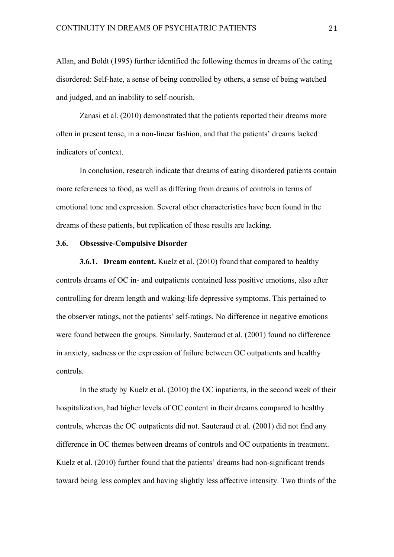Allan, and Boldt (1995) further identified the following themes in dreams of the eating disordered: Self-hate, a sense of being controlled by others, a sense of being watched and judged, and an inability to self-nourish.

Zanasi et al. (2010) demonstrated that the patients reported their dreams more often in present tense, in a non-linear fashion, and that the patients' dreams lacked indicators of context.

In conclusion, research indicate that dreams of eating disordered patients contain more references to food, as well as differing from dreams of controls in terms of emotional tone and expression. Several other characteristics have been found in the dreams of these patients, but replication of these results are lacking.

# **3.6. Obsessive-Compulsive Disorder**

**3.6.1. Dream content.** Kuelz et al. (2010) found that compared to healthy controls dreams of OC in- and outpatients contained less positive emotions, also after controlling for dream length and waking-life depressive symptoms. This pertained to the observer ratings, not the patients' self-ratings. No difference in negative emotions were found between the groups. Similarly, Sauteraud et al. (2001) found no difference in anxiety, sadness or the expression of failure between OC outpatients and healthy controls.

In the study by Kuelz et al. (2010) the OC inpatients, in the second week of their hospitalization, had higher levels of OC content in their dreams compared to healthy controls, whereas the OC outpatients did not. Sauteraud et al. (2001) did not find any difference in OC themes between dreams of controls and OC outpatients in treatment. Kuelz et al. (2010) further found that the patients' dreams had non-significant trends toward being less complex and having slightly less affective intensity. Two thirds of the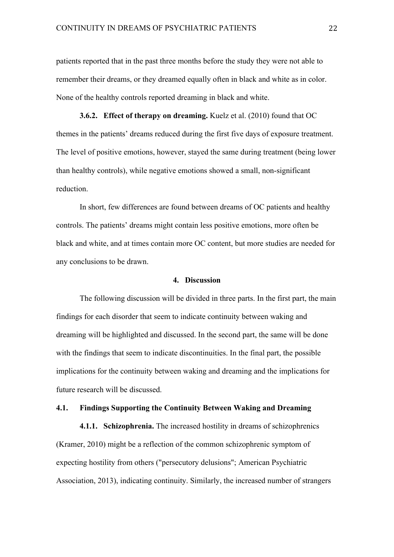patients reported that in the past three months before the study they were not able to remember their dreams, or they dreamed equally often in black and white as in color. None of the healthy controls reported dreaming in black and white.

**3.6.2. Effect of therapy on dreaming.** Kuelz et al. (2010) found that OC themes in the patients' dreams reduced during the first five days of exposure treatment. The level of positive emotions, however, stayed the same during treatment (being lower than healthy controls), while negative emotions showed a small, non-significant reduction.

In short, few differences are found between dreams of OC patients and healthy controls. The patients' dreams might contain less positive emotions, more often be black and white, and at times contain more OC content, but more studies are needed for any conclusions to be drawn.

# **4. Discussion**

The following discussion will be divided in three parts. In the first part, the main findings for each disorder that seem to indicate continuity between waking and dreaming will be highlighted and discussed. In the second part, the same will be done with the findings that seem to indicate discontinuities. In the final part, the possible implications for the continuity between waking and dreaming and the implications for future research will be discussed.

## **4.1. Findings Supporting the Continuity Between Waking and Dreaming**

**4.1.1. Schizophrenia.** The increased hostility in dreams of schizophrenics (Kramer, 2010) might be a reflection of the common schizophrenic symptom of expecting hostility from others ("persecutory delusions"; American Psychiatric Association, 2013), indicating continuity. Similarly, the increased number of strangers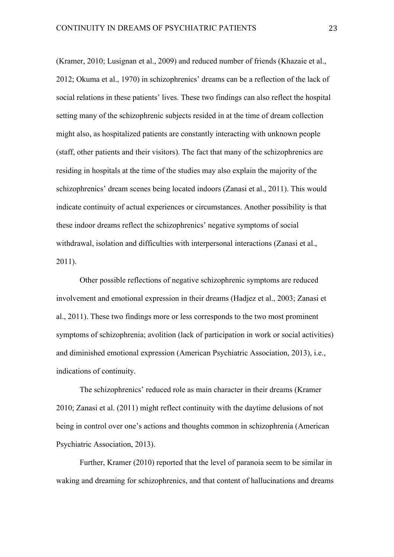(Kramer, 2010; Lusignan et al., 2009) and reduced number of friends (Khazaie et al., 2012; Okuma et al., 1970) in schizophrenics' dreams can be a reflection of the lack of social relations in these patients' lives. These two findings can also reflect the hospital setting many of the schizophrenic subjects resided in at the time of dream collection might also, as hospitalized patients are constantly interacting with unknown people (staff, other patients and their visitors). The fact that many of the schizophrenics are residing in hospitals at the time of the studies may also explain the majority of the schizophrenics' dream scenes being located indoors (Zanasi et al., 2011). This would indicate continuity of actual experiences or circumstances. Another possibility is that these indoor dreams reflect the schizophrenics' negative symptoms of social withdrawal, isolation and difficulties with interpersonal interactions (Zanasi et al., 2011).

Other possible reflections of negative schizophrenic symptoms are reduced involvement and emotional expression in their dreams (Hadjez et al., 2003; Zanasi et al., 2011). These two findings more or less corresponds to the two most prominent symptoms of schizophrenia; avolition (lack of participation in work or social activities) and diminished emotional expression (American Psychiatric Association, 2013), i.e., indications of continuity.

The schizophrenics' reduced role as main character in their dreams (Kramer 2010; Zanasi et al. (2011) might reflect continuity with the daytime delusions of not being in control over one's actions and thoughts common in schizophrenia (American Psychiatric Association, 2013).

Further, Kramer (2010) reported that the level of paranoia seem to be similar in waking and dreaming for schizophrenics, and that content of hallucinations and dreams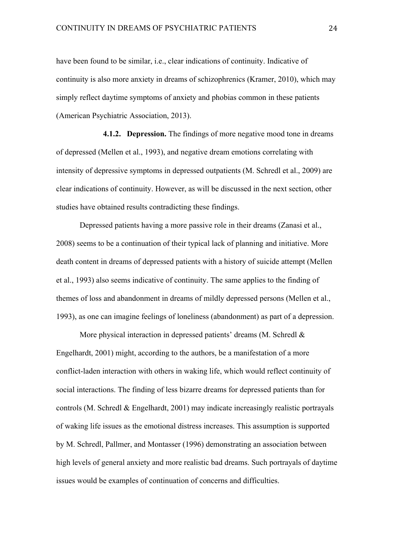have been found to be similar, i.e., clear indications of continuity. Indicative of continuity is also more anxiety in dreams of schizophrenics (Kramer, 2010), which may simply reflect daytime symptoms of anxiety and phobias common in these patients (American Psychiatric Association, 2013).

**4.1.2. Depression.** The findings of more negative mood tone in dreams of depressed (Mellen et al., 1993), and negative dream emotions correlating with intensity of depressive symptoms in depressed outpatients (M. Schredl et al., 2009) are clear indications of continuity. However, as will be discussed in the next section, other studies have obtained results contradicting these findings.

Depressed patients having a more passive role in their dreams (Zanasi et al., 2008) seems to be a continuation of their typical lack of planning and initiative. More death content in dreams of depressed patients with a history of suicide attempt (Mellen et al., 1993) also seems indicative of continuity. The same applies to the finding of themes of loss and abandonment in dreams of mildly depressed persons (Mellen et al., 1993), as one can imagine feelings of loneliness (abandonment) as part of a depression.

More physical interaction in depressed patients' dreams (M. Schredl & Engelhardt, 2001) might, according to the authors, be a manifestation of a more conflict-laden interaction with others in waking life, which would reflect continuity of social interactions. The finding of less bizarre dreams for depressed patients than for controls (M. Schredl & Engelhardt, 2001) may indicate increasingly realistic portrayals of waking life issues as the emotional distress increases. This assumption is supported by M. Schredl, Pallmer, and Montasser (1996) demonstrating an association between high levels of general anxiety and more realistic bad dreams. Such portrayals of daytime issues would be examples of continuation of concerns and difficulties.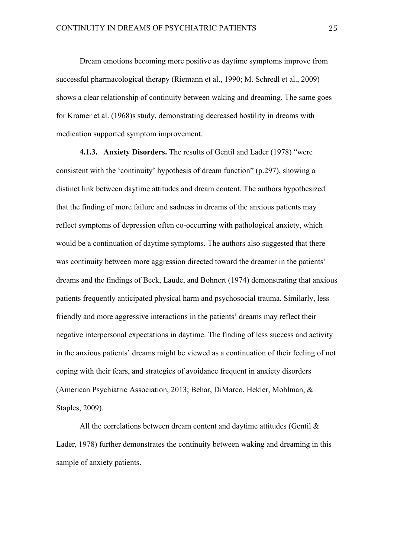Dream emotions becoming more positive as daytime symptoms improve from successful pharmacological therapy (Riemann et al., 1990; M. Schredl et al., 2009) shows a clear relationship of continuity between waking and dreaming. The same goes for Kramer et al. (1968)s study, demonstrating decreased hostility in dreams with medication supported symptom improvement.

**4.1.3. Anxiety Disorders.** The results of Gentil and Lader (1978) "were consistent with the 'continuity' hypothesis of dream function" (p.297), showing a distinct link between daytime attitudes and dream content. The authors hypothesized that the finding of more failure and sadness in dreams of the anxious patients may reflect symptoms of depression often co-occurring with pathological anxiety, which would be a continuation of daytime symptoms. The authors also suggested that there was continuity between more aggression directed toward the dreamer in the patients' dreams and the findings of Beck, Laude, and Bohnert (1974) demonstrating that anxious patients frequently anticipated physical harm and psychosocial trauma. Similarly, less friendly and more aggressive interactions in the patients' dreams may reflect their negative interpersonal expectations in daytime. The finding of less success and activity in the anxious patients' dreams might be viewed as a continuation of their feeling of not coping with their fears, and strategies of avoidance frequent in anxiety disorders (American Psychiatric Association, 2013; Behar, DiMarco, Hekler, Mohlman, & Staples, 2009).

All the correlations between dream content and daytime attitudes (Gentil & Lader, 1978) further demonstrates the continuity between waking and dreaming in this sample of anxiety patients.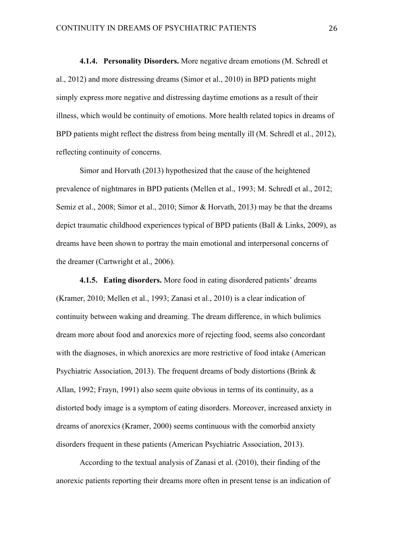**4.1.4. Personality Disorders.** More negative dream emotions (M. Schredl et al., 2012) and more distressing dreams (Simor et al., 2010) in BPD patients might simply express more negative and distressing daytime emotions as a result of their illness, which would be continuity of emotions. More health related topics in dreams of BPD patients might reflect the distress from being mentally ill (M. Schredl et al., 2012), reflecting continuity of concerns.

Simor and Horvath (2013) hypothesized that the cause of the heightened prevalence of nightmares in BPD patients (Mellen et al., 1993; M. Schredl et al., 2012; Semiz et al., 2008; Simor et al., 2010; Simor & Horvath, 2013) may be that the dreams depict traumatic childhood experiences typical of BPD patients (Ball & Links, 2009), as dreams have been shown to portray the main emotional and interpersonal concerns of the dreamer (Cartwright et al., 2006).

**4.1.5. Eating disorders.** More food in eating disordered patients' dreams (Kramer, 2010; Mellen et al., 1993; Zanasi et al., 2010) is a clear indication of continuity between waking and dreaming. The dream difference, in which bulimics dream more about food and anorexics more of rejecting food, seems also concordant with the diagnoses, in which anorexics are more restrictive of food intake (American Psychiatric Association, 2013). The frequent dreams of body distortions (Brink & Allan, 1992; Frayn, 1991) also seem quite obvious in terms of its continuity, as a distorted body image is a symptom of eating disorders. Moreover, increased anxiety in dreams of anorexics (Kramer, 2000) seems continuous with the comorbid anxiety disorders frequent in these patients (American Psychiatric Association, 2013).

According to the textual analysis of Zanasi et al. (2010), their finding of the anorexic patients reporting their dreams more often in present tense is an indication of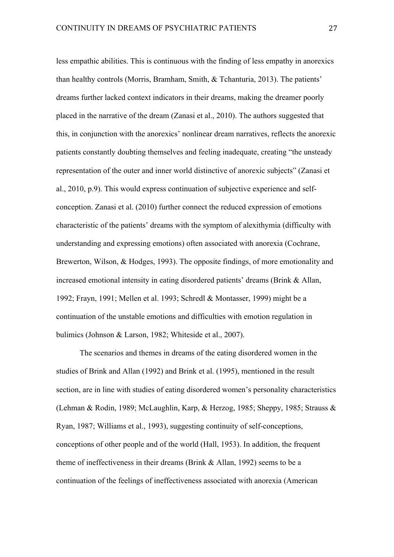less empathic abilities. This is continuous with the finding of less empathy in anorexics than healthy controls (Morris, Bramham, Smith, & Tchanturia, 2013). The patients' dreams further lacked context indicators in their dreams, making the dreamer poorly placed in the narrative of the dream (Zanasi et al., 2010). The authors suggested that this, in conjunction with the anorexics' nonlinear dream narratives, reflects the anorexic patients constantly doubting themselves and feeling inadequate, creating "the unsteady representation of the outer and inner world distinctive of anorexic subjects" (Zanasi et al., 2010, p.9). This would express continuation of subjective experience and selfconception. Zanasi et al. (2010) further connect the reduced expression of emotions characteristic of the patients' dreams with the symptom of alexithymia (difficulty with understanding and expressing emotions) often associated with anorexia (Cochrane, Brewerton, Wilson, & Hodges, 1993). The opposite findings, of more emotionality and increased emotional intensity in eating disordered patients' dreams (Brink & Allan, 1992; Frayn, 1991; Mellen et al. 1993; Schredl & Montasser, 1999) might be a continuation of the unstable emotions and difficulties with emotion regulation in bulimics (Johnson & Larson, 1982; Whiteside et al., 2007).

The scenarios and themes in dreams of the eating disordered women in the studies of Brink and Allan (1992) and Brink et al. (1995), mentioned in the result section, are in line with studies of eating disordered women's personality characteristics (Lehman & Rodin, 1989; McLaughlin, Karp, & Herzog, 1985; Sheppy, 1985; Strauss & Ryan, 1987; Williams et al., 1993), suggesting continuity of self-conceptions, conceptions of other people and of the world (Hall, 1953). In addition, the frequent theme of ineffectiveness in their dreams (Brink & Allan, 1992) seems to be a continuation of the feelings of ineffectiveness associated with anorexia (American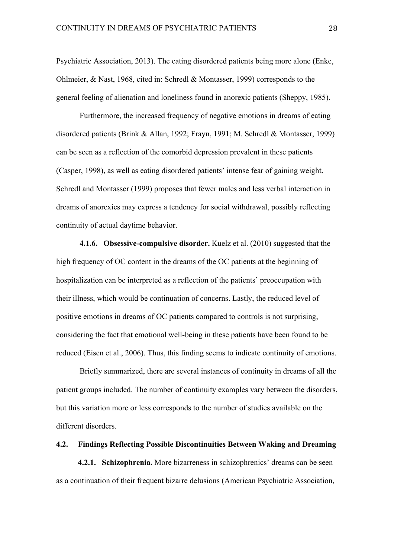Psychiatric Association, 2013). The eating disordered patients being more alone (Enke, Ohlmeier, & Nast, 1968, cited in: Schredl & Montasser, 1999) corresponds to the general feeling of alienation and loneliness found in anorexic patients (Sheppy, 1985).

Furthermore, the increased frequency of negative emotions in dreams of eating disordered patients (Brink & Allan, 1992; Frayn, 1991; M. Schredl & Montasser, 1999) can be seen as a reflection of the comorbid depression prevalent in these patients (Casper, 1998), as well as eating disordered patients' intense fear of gaining weight. Schredl and Montasser (1999) proposes that fewer males and less verbal interaction in dreams of anorexics may express a tendency for social withdrawal, possibly reflecting continuity of actual daytime behavior.

**4.1.6. Obsessive-compulsive disorder.** Kuelz et al. (2010) suggested that the high frequency of OC content in the dreams of the OC patients at the beginning of hospitalization can be interpreted as a reflection of the patients' preoccupation with their illness, which would be continuation of concerns. Lastly, the reduced level of positive emotions in dreams of OC patients compared to controls is not surprising, considering the fact that emotional well-being in these patients have been found to be reduced (Eisen et al., 2006). Thus, this finding seems to indicate continuity of emotions.

Briefly summarized, there are several instances of continuity in dreams of all the patient groups included. The number of continuity examples vary between the disorders, but this variation more or less corresponds to the number of studies available on the different disorders.

## **4.2. Findings Reflecting Possible Discontinuities Between Waking and Dreaming**

 **4.2.1. Schizophrenia.** More bizarreness in schizophrenics' dreams can be seen as a continuation of their frequent bizarre delusions (American Psychiatric Association,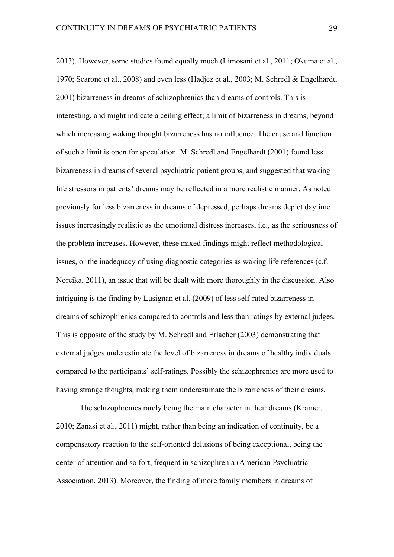2013). However, some studies found equally much (Limosani et al., 2011; Okuma et al., 1970; Scarone et al., 2008) and even less (Hadjez et al., 2003; M. Schredl & Engelhardt, 2001) bizarreness in dreams of schizophrenics than dreams of controls. This is interesting, and might indicate a ceiling effect; a limit of bizarreness in dreams, beyond which increasing waking thought bizarreness has no influence. The cause and function of such a limit is open for speculation. M. Schredl and Engelhardt (2001) found less bizarreness in dreams of several psychiatric patient groups, and suggested that waking life stressors in patients' dreams may be reflected in a more realistic manner. As noted previously for less bizarreness in dreams of depressed, perhaps dreams depict daytime issues increasingly realistic as the emotional distress increases, i.e., as the seriousness of the problem increases. However, these mixed findings might reflect methodological issues, or the inadequacy of using diagnostic categories as waking life references (c.f. Noreika, 2011), an issue that will be dealt with more thoroughly in the discussion. Also intriguing is the finding by Lusignan et al. (2009) of less self-rated bizarreness in dreams of schizophrenics compared to controls and less than ratings by external judges. This is opposite of the study by M. Schredl and Erlacher (2003) demonstrating that external judges underestimate the level of bizarreness in dreams of healthy individuals compared to the participants' self-ratings. Possibly the schizophrenics are more used to having strange thoughts, making them underestimate the bizarreness of their dreams.

The schizophrenics rarely being the main character in their dreams (Kramer, 2010; Zanasi et al., 2011) might, rather than being an indication of continuity, be a compensatory reaction to the self-oriented delusions of being exceptional, being the center of attention and so fort, frequent in schizophrenia (American Psychiatric Association, 2013). Moreover, the finding of more family members in dreams of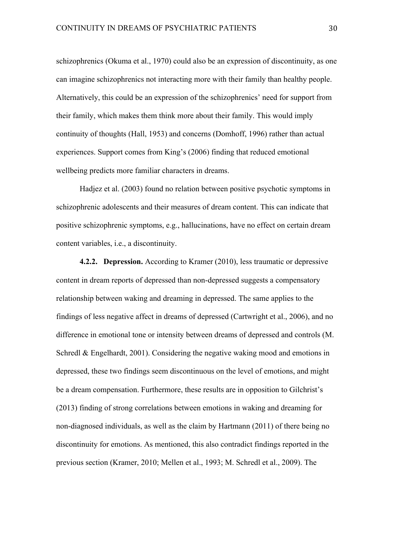schizophrenics (Okuma et al., 1970) could also be an expression of discontinuity, as one can imagine schizophrenics not interacting more with their family than healthy people. Alternatively, this could be an expression of the schizophrenics' need for support from their family, which makes them think more about their family. This would imply continuity of thoughts (Hall, 1953) and concerns (Domhoff, 1996) rather than actual experiences. Support comes from King's (2006) finding that reduced emotional wellbeing predicts more familiar characters in dreams.

Hadjez et al. (2003) found no relation between positive psychotic symptoms in schizophrenic adolescents and their measures of dream content. This can indicate that positive schizophrenic symptoms, e.g., hallucinations, have no effect on certain dream content variables, i.e., a discontinuity.

**4.2.2. Depression.** According to Kramer (2010), less traumatic or depressive content in dream reports of depressed than non-depressed suggests a compensatory relationship between waking and dreaming in depressed. The same applies to the findings of less negative affect in dreams of depressed (Cartwright et al., 2006), and no difference in emotional tone or intensity between dreams of depressed and controls (M. Schredl & Engelhardt, 2001). Considering the negative waking mood and emotions in depressed, these two findings seem discontinuous on the level of emotions, and might be a dream compensation. Furthermore, these results are in opposition to Gilchrist's (2013) finding of strong correlations between emotions in waking and dreaming for non-diagnosed individuals, as well as the claim by Hartmann (2011) of there being no discontinuity for emotions. As mentioned, this also contradict findings reported in the previous section (Kramer, 2010; Mellen et al., 1993; M. Schredl et al., 2009). The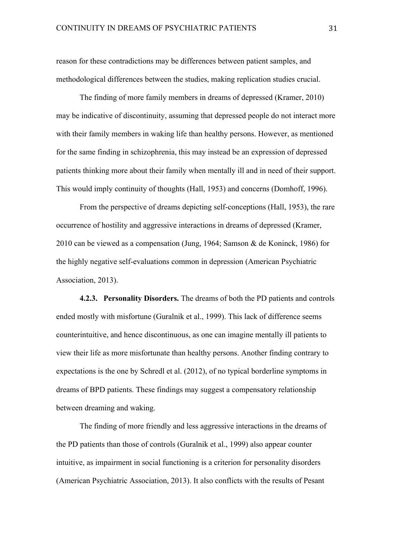reason for these contradictions may be differences between patient samples, and methodological differences between the studies, making replication studies crucial.

The finding of more family members in dreams of depressed (Kramer, 2010) may be indicative of discontinuity, assuming that depressed people do not interact more with their family members in waking life than healthy persons. However, as mentioned for the same finding in schizophrenia, this may instead be an expression of depressed patients thinking more about their family when mentally ill and in need of their support. This would imply continuity of thoughts (Hall, 1953) and concerns (Domhoff, 1996).

From the perspective of dreams depicting self-conceptions (Hall, 1953), the rare occurrence of hostility and aggressive interactions in dreams of depressed (Kramer, 2010 can be viewed as a compensation (Jung, 1964; Samson & de Koninck, 1986) for the highly negative self-evaluations common in depression (American Psychiatric Association, 2013).

**4.2.3. Personality Disorders.** The dreams of both the PD patients and controls ended mostly with misfortune (Guralnik et al., 1999). This lack of difference seems counterintuitive, and hence discontinuous, as one can imagine mentally ill patients to view their life as more misfortunate than healthy persons. Another finding contrary to expectations is the one by Schredl et al. (2012), of no typical borderline symptoms in dreams of BPD patients. These findings may suggest a compensatory relationship between dreaming and waking.

The finding of more friendly and less aggressive interactions in the dreams of the PD patients than those of controls (Guralnik et al., 1999) also appear counter intuitive, as impairment in social functioning is a criterion for personality disorders (American Psychiatric Association, 2013). It also conflicts with the results of Pesant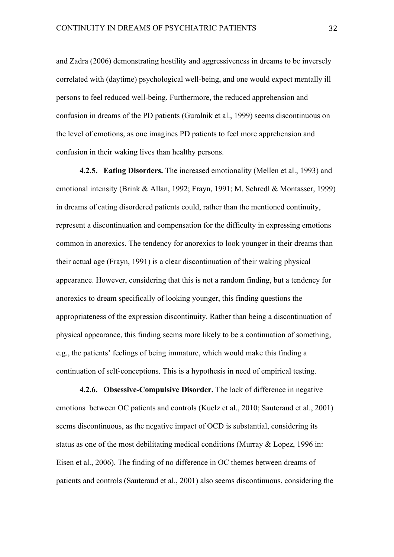and Zadra (2006) demonstrating hostility and aggressiveness in dreams to be inversely correlated with (daytime) psychological well-being, and one would expect mentally ill persons to feel reduced well-being. Furthermore, the reduced apprehension and confusion in dreams of the PD patients (Guralnik et al., 1999) seems discontinuous on the level of emotions, as one imagines PD patients to feel more apprehension and confusion in their waking lives than healthy persons.

**4.2.5. Eating Disorders.** The increased emotionality (Mellen et al., 1993) and emotional intensity (Brink & Allan, 1992; Frayn, 1991; M. Schredl & Montasser, 1999) in dreams of eating disordered patients could, rather than the mentioned continuity, represent a discontinuation and compensation for the difficulty in expressing emotions common in anorexics. The tendency for anorexics to look younger in their dreams than their actual age (Frayn, 1991) is a clear discontinuation of their waking physical appearance. However, considering that this is not a random finding, but a tendency for anorexics to dream specifically of looking younger, this finding questions the appropriateness of the expression discontinuity. Rather than being a discontinuation of physical appearance, this finding seems more likely to be a continuation of something, e.g., the patients' feelings of being immature, which would make this finding a continuation of self-conceptions. This is a hypothesis in need of empirical testing.

**4.2.6. Obsessive-Compulsive Disorder.** The lack of difference in negative emotions between OC patients and controls (Kuelz et al., 2010; Sauteraud et al., 2001) seems discontinuous, as the negative impact of OCD is substantial, considering its status as one of the most debilitating medical conditions (Murray & Lopez, 1996 in: Eisen et al., 2006). The finding of no difference in OC themes between dreams of patients and controls (Sauteraud et al., 2001) also seems discontinuous, considering the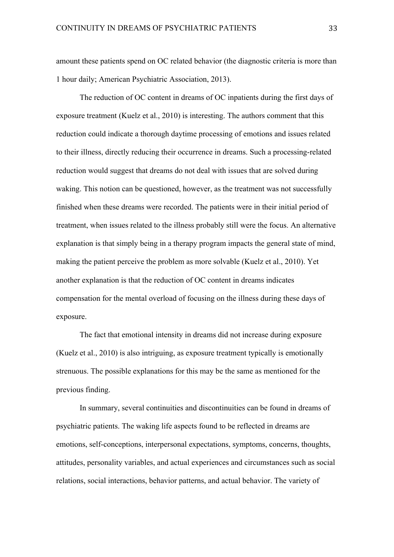amount these patients spend on OC related behavior (the diagnostic criteria is more than 1 hour daily; American Psychiatric Association, 2013).

The reduction of OC content in dreams of OC inpatients during the first days of exposure treatment (Kuelz et al., 2010) is interesting. The authors comment that this reduction could indicate a thorough daytime processing of emotions and issues related to their illness, directly reducing their occurrence in dreams. Such a processing-related reduction would suggest that dreams do not deal with issues that are solved during waking. This notion can be questioned, however, as the treatment was not successfully finished when these dreams were recorded. The patients were in their initial period of treatment, when issues related to the illness probably still were the focus. An alternative explanation is that simply being in a therapy program impacts the general state of mind, making the patient perceive the problem as more solvable (Kuelz et al., 2010). Yet another explanation is that the reduction of OC content in dreams indicates compensation for the mental overload of focusing on the illness during these days of exposure.

The fact that emotional intensity in dreams did not increase during exposure (Kuelz et al., 2010) is also intriguing, as exposure treatment typically is emotionally strenuous. The possible explanations for this may be the same as mentioned for the previous finding.

In summary, several continuities and discontinuities can be found in dreams of psychiatric patients. The waking life aspects found to be reflected in dreams are emotions, self-conceptions, interpersonal expectations, symptoms, concerns, thoughts, attitudes, personality variables, and actual experiences and circumstances such as social relations, social interactions, behavior patterns, and actual behavior. The variety of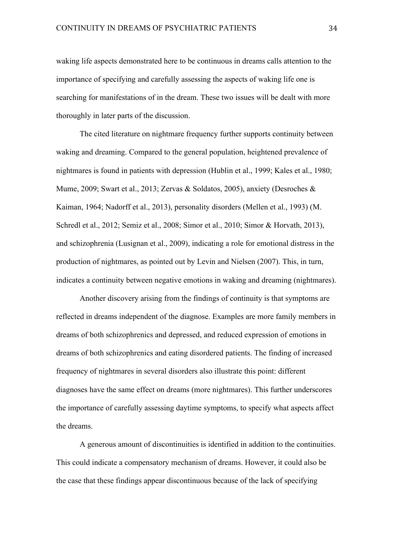waking life aspects demonstrated here to be continuous in dreams calls attention to the importance of specifying and carefully assessing the aspects of waking life one is searching for manifestations of in the dream. These two issues will be dealt with more thoroughly in later parts of the discussion.

The cited literature on nightmare frequency further supports continuity between waking and dreaming. Compared to the general population, heightened prevalence of nightmares is found in patients with depression (Hublin et al., 1999; Kales et al., 1980; Mume, 2009; Swart et al., 2013; Zervas & Soldatos, 2005), anxiety (Desroches & Kaiman, 1964; Nadorff et al., 2013), personality disorders (Mellen et al., 1993) (M. Schredl et al., 2012; Semiz et al., 2008; Simor et al., 2010; Simor & Horvath, 2013), and schizophrenia (Lusignan et al., 2009), indicating a role for emotional distress in the production of nightmares, as pointed out by Levin and Nielsen (2007). This, in turn, indicates a continuity between negative emotions in waking and dreaming (nightmares).

Another discovery arising from the findings of continuity is that symptoms are reflected in dreams independent of the diagnose. Examples are more family members in dreams of both schizophrenics and depressed, and reduced expression of emotions in dreams of both schizophrenics and eating disordered patients. The finding of increased frequency of nightmares in several disorders also illustrate this point: different diagnoses have the same effect on dreams (more nightmares). This further underscores the importance of carefully assessing daytime symptoms, to specify what aspects affect the dreams.

A generous amount of discontinuities is identified in addition to the continuities. This could indicate a compensatory mechanism of dreams. However, it could also be the case that these findings appear discontinuous because of the lack of specifying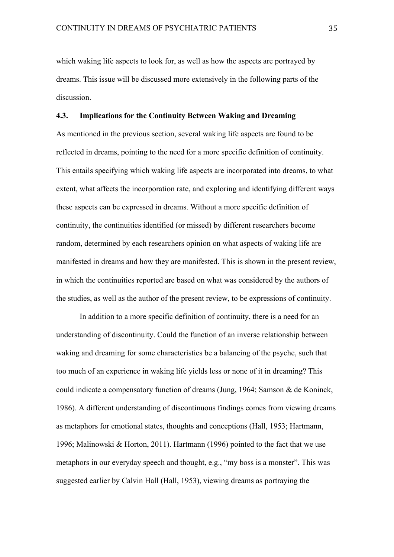which waking life aspects to look for, as well as how the aspects are portrayed by dreams. This issue will be discussed more extensively in the following parts of the discussion.

# **4.3. Implications for the Continuity Between Waking and Dreaming**

As mentioned in the previous section, several waking life aspects are found to be reflected in dreams, pointing to the need for a more specific definition of continuity. This entails specifying which waking life aspects are incorporated into dreams, to what extent, what affects the incorporation rate, and exploring and identifying different ways these aspects can be expressed in dreams. Without a more specific definition of continuity, the continuities identified (or missed) by different researchers become random, determined by each researchers opinion on what aspects of waking life are manifested in dreams and how they are manifested. This is shown in the present review, in which the continuities reported are based on what was considered by the authors of the studies, as well as the author of the present review, to be expressions of continuity.

In addition to a more specific definition of continuity, there is a need for an understanding of discontinuity. Could the function of an inverse relationship between waking and dreaming for some characteristics be a balancing of the psyche, such that too much of an experience in waking life yields less or none of it in dreaming? This could indicate a compensatory function of dreams (Jung, 1964; Samson & de Koninck, 1986). A different understanding of discontinuous findings comes from viewing dreams as metaphors for emotional states, thoughts and conceptions (Hall, 1953; Hartmann, 1996; Malinowski & Horton, 2011). Hartmann (1996) pointed to the fact that we use metaphors in our everyday speech and thought, e.g., "my boss is a monster". This was suggested earlier by Calvin Hall (Hall, 1953), viewing dreams as portraying the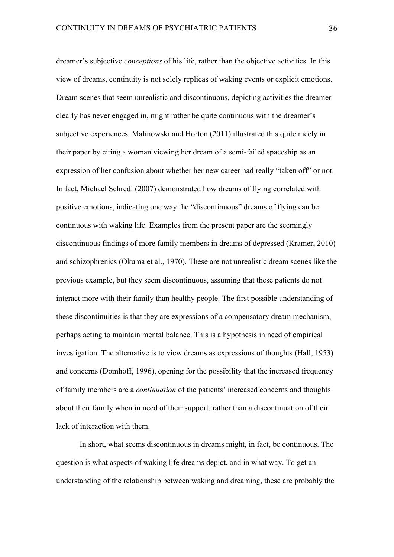dreamer's subjective *conceptions* of his life, rather than the objective activities. In this view of dreams, continuity is not solely replicas of waking events or explicit emotions. Dream scenes that seem unrealistic and discontinuous, depicting activities the dreamer clearly has never engaged in, might rather be quite continuous with the dreamer's subjective experiences. Malinowski and Horton (2011) illustrated this quite nicely in their paper by citing a woman viewing her dream of a semi-failed spaceship as an expression of her confusion about whether her new career had really "taken off" or not. In fact, Michael Schredl (2007) demonstrated how dreams of flying correlated with positive emotions, indicating one way the "discontinuous" dreams of flying can be continuous with waking life. Examples from the present paper are the seemingly discontinuous findings of more family members in dreams of depressed (Kramer, 2010) and schizophrenics (Okuma et al., 1970). These are not unrealistic dream scenes like the previous example, but they seem discontinuous, assuming that these patients do not interact more with their family than healthy people. The first possible understanding of these discontinuities is that they are expressions of a compensatory dream mechanism, perhaps acting to maintain mental balance. This is a hypothesis in need of empirical investigation. The alternative is to view dreams as expressions of thoughts (Hall, 1953) and concerns (Domhoff, 1996), opening for the possibility that the increased frequency of family members are a *continuation* of the patients' increased concerns and thoughts about their family when in need of their support, rather than a discontinuation of their lack of interaction with them.

In short, what seems discontinuous in dreams might, in fact, be continuous. The question is what aspects of waking life dreams depict, and in what way. To get an understanding of the relationship between waking and dreaming, these are probably the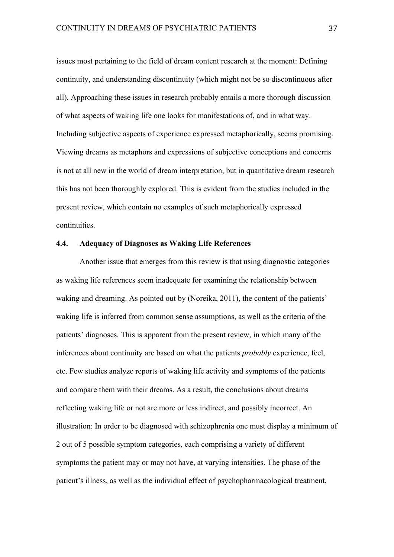issues most pertaining to the field of dream content research at the moment: Defining continuity, and understanding discontinuity (which might not be so discontinuous after all). Approaching these issues in research probably entails a more thorough discussion of what aspects of waking life one looks for manifestations of, and in what way. Including subjective aspects of experience expressed metaphorically, seems promising. Viewing dreams as metaphors and expressions of subjective conceptions and concerns is not at all new in the world of dream interpretation, but in quantitative dream research this has not been thoroughly explored. This is evident from the studies included in the present review, which contain no examples of such metaphorically expressed continuities.

# **4.4. Adequacy of Diagnoses as Waking Life References**

Another issue that emerges from this review is that using diagnostic categories as waking life references seem inadequate for examining the relationship between waking and dreaming. As pointed out by (Noreika, 2011), the content of the patients' waking life is inferred from common sense assumptions, as well as the criteria of the patients' diagnoses. This is apparent from the present review, in which many of the inferences about continuity are based on what the patients *probably* experience, feel, etc. Few studies analyze reports of waking life activity and symptoms of the patients and compare them with their dreams. As a result, the conclusions about dreams reflecting waking life or not are more or less indirect, and possibly incorrect. An illustration: In order to be diagnosed with schizophrenia one must display a minimum of 2 out of 5 possible symptom categories, each comprising a variety of different symptoms the patient may or may not have, at varying intensities. The phase of the patient's illness, as well as the individual effect of psychopharmacological treatment,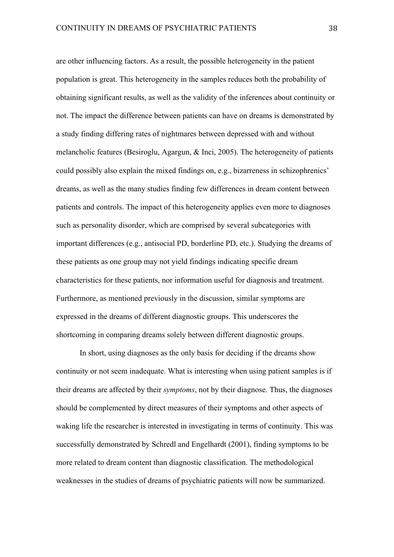are other influencing factors. As a result, the possible heterogeneity in the patient population is great. This heterogeneity in the samples reduces both the probability of obtaining significant results, as well as the validity of the inferences about continuity or not. The impact the difference between patients can have on dreams is demonstrated by a study finding differing rates of nightmares between depressed with and without melancholic features (Besiroglu, Agargun, & Inci, 2005). The heterogeneity of patients could possibly also explain the mixed findings on, e.g., bizarreness in schizophrenics' dreams, as well as the many studies finding few differences in dream content between patients and controls. The impact of this heterogeneity applies even more to diagnoses such as personality disorder, which are comprised by several subcategories with important differences (e.g., antisocial PD, borderline PD, etc.). Studying the dreams of these patients as one group may not yield findings indicating specific dream characteristics for these patients, nor information useful for diagnosis and treatment. Furthermore, as mentioned previously in the discussion, similar symptoms are expressed in the dreams of different diagnostic groups. This underscores the shortcoming in comparing dreams solely between different diagnostic groups.

In short, using diagnoses as the only basis for deciding if the dreams show continuity or not seem inadequate. What is interesting when using patient samples is if their dreams are affected by their *symptoms*, not by their diagnose. Thus, the diagnoses should be complemented by direct measures of their symptoms and other aspects of waking life the researcher is interested in investigating in terms of continuity. This was successfully demonstrated by Schredl and Engelhardt (2001), finding symptoms to be more related to dream content than diagnostic classification. The methodological weaknesses in the studies of dreams of psychiatric patients will now be summarized.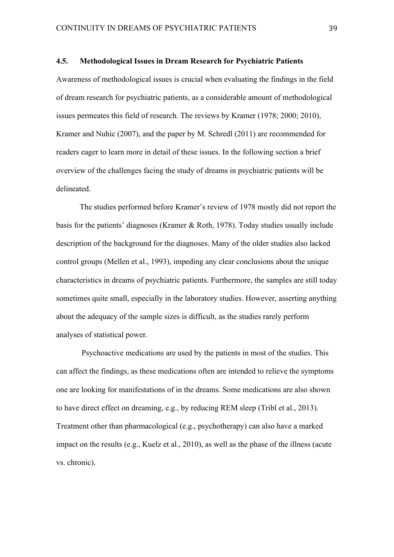#### **4.5. Methodological Issues in Dream Research for Psychiatric Patients**

Awareness of methodological issues is crucial when evaluating the findings in the field of dream research for psychiatric patients, as a considerable amount of methodological issues permeates this field of research. The reviews by Kramer (1978; 2000; 2010), Kramer and Nuhic (2007), and the paper by M. Schredl (2011) are recommended for readers eager to learn more in detail of these issues. In the following section a brief overview of the challenges facing the study of dreams in psychiatric patients will be delineated.

The studies performed before Kramer's review of 1978 mostly did not report the basis for the patients' diagnoses (Kramer & Roth, 1978). Today studies usually include description of the background for the diagnoses. Many of the older studies also lacked control groups (Mellen et al., 1993), impeding any clear conclusions about the unique characteristics in dreams of psychiatric patients. Furthermore, the samples are still today sometimes quite small, especially in the laboratory studies. However, asserting anything about the adequacy of the sample sizes is difficult, as the studies rarely perform analyses of statistical power.

Psychoactive medications are used by the patients in most of the studies. This can affect the findings, as these medications often are intended to relieve the symptoms one are looking for manifestations of in the dreams. Some medications are also shown to have direct effect on dreaming, e.g., by reducing REM sleep (Tribl et al., 2013). Treatment other than pharmacological (e.g., psychotherapy) can also have a marked impact on the results (e.g., Kuelz et al., 2010), as well as the phase of the illness (acute vs. chronic).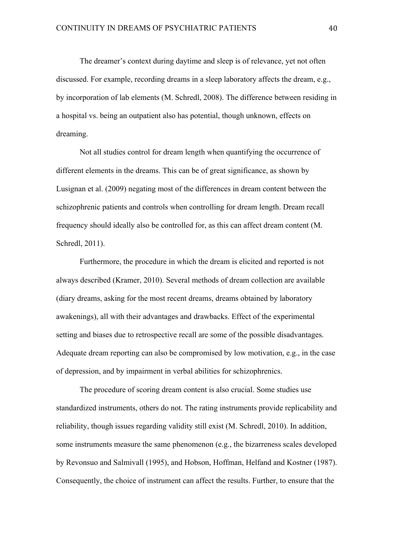The dreamer's context during daytime and sleep is of relevance, yet not often discussed. For example, recording dreams in a sleep laboratory affects the dream, e.g., by incorporation of lab elements (M. Schredl, 2008). The difference between residing in a hospital vs. being an outpatient also has potential, though unknown, effects on dreaming.

Not all studies control for dream length when quantifying the occurrence of different elements in the dreams. This can be of great significance, as shown by Lusignan et al. (2009) negating most of the differences in dream content between the schizophrenic patients and controls when controlling for dream length. Dream recall frequency should ideally also be controlled for, as this can affect dream content (M. Schredl, 2011).

Furthermore, the procedure in which the dream is elicited and reported is not always described (Kramer, 2010). Several methods of dream collection are available (diary dreams, asking for the most recent dreams, dreams obtained by laboratory awakenings), all with their advantages and drawbacks. Effect of the experimental setting and biases due to retrospective recall are some of the possible disadvantages. Adequate dream reporting can also be compromised by low motivation, e.g., in the case of depression, and by impairment in verbal abilities for schizophrenics.

The procedure of scoring dream content is also crucial. Some studies use standardized instruments, others do not. The rating instruments provide replicability and reliability, though issues regarding validity still exist (M. Schredl, 2010). In addition, some instruments measure the same phenomenon (e.g., the bizarreness scales developed by Revonsuo and Salmivall (1995), and Hobson, Hoffman, Helfand and Kostner (1987). Consequently, the choice of instrument can affect the results. Further, to ensure that the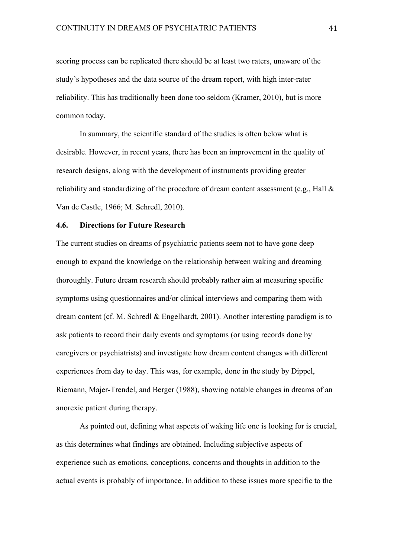scoring process can be replicated there should be at least two raters, unaware of the study's hypotheses and the data source of the dream report, with high inter-rater reliability. This has traditionally been done too seldom (Kramer, 2010), but is more common today.

In summary, the scientific standard of the studies is often below what is desirable. However, in recent years, there has been an improvement in the quality of research designs, along with the development of instruments providing greater reliability and standardizing of the procedure of dream content assessment (e.g., Hall & Van de Castle, 1966; M. Schredl, 2010).

#### **4.6. Directions for Future Research**

The current studies on dreams of psychiatric patients seem not to have gone deep enough to expand the knowledge on the relationship between waking and dreaming thoroughly. Future dream research should probably rather aim at measuring specific symptoms using questionnaires and/or clinical interviews and comparing them with dream content (cf. M. Schredl & Engelhardt, 2001). Another interesting paradigm is to ask patients to record their daily events and symptoms (or using records done by caregivers or psychiatrists) and investigate how dream content changes with different experiences from day to day. This was, for example, done in the study by Dippel, Riemann, Majer-Trendel, and Berger (1988), showing notable changes in dreams of an anorexic patient during therapy.

As pointed out, defining what aspects of waking life one is looking for is crucial, as this determines what findings are obtained. Including subjective aspects of experience such as emotions, conceptions, concerns and thoughts in addition to the actual events is probably of importance. In addition to these issues more specific to the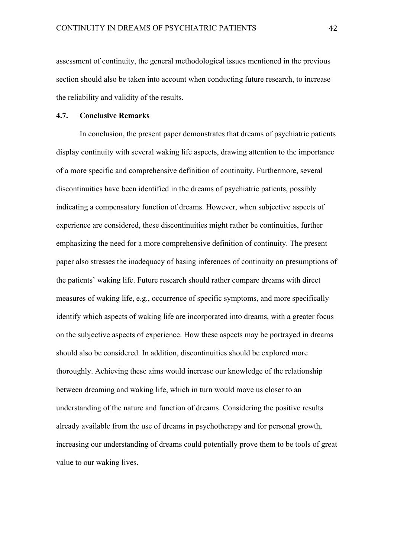assessment of continuity, the general methodological issues mentioned in the previous section should also be taken into account when conducting future research, to increase the reliability and validity of the results.

## **4.7. Conclusive Remarks**

In conclusion, the present paper demonstrates that dreams of psychiatric patients display continuity with several waking life aspects, drawing attention to the importance of a more specific and comprehensive definition of continuity. Furthermore, several discontinuities have been identified in the dreams of psychiatric patients, possibly indicating a compensatory function of dreams. However, when subjective aspects of experience are considered, these discontinuities might rather be continuities, further emphasizing the need for a more comprehensive definition of continuity. The present paper also stresses the inadequacy of basing inferences of continuity on presumptions of the patients' waking life. Future research should rather compare dreams with direct measures of waking life, e.g., occurrence of specific symptoms, and more specifically identify which aspects of waking life are incorporated into dreams, with a greater focus on the subjective aspects of experience. How these aspects may be portrayed in dreams should also be considered. In addition, discontinuities should be explored more thoroughly. Achieving these aims would increase our knowledge of the relationship between dreaming and waking life, which in turn would move us closer to an understanding of the nature and function of dreams. Considering the positive results already available from the use of dreams in psychotherapy and for personal growth, increasing our understanding of dreams could potentially prove them to be tools of great value to our waking lives.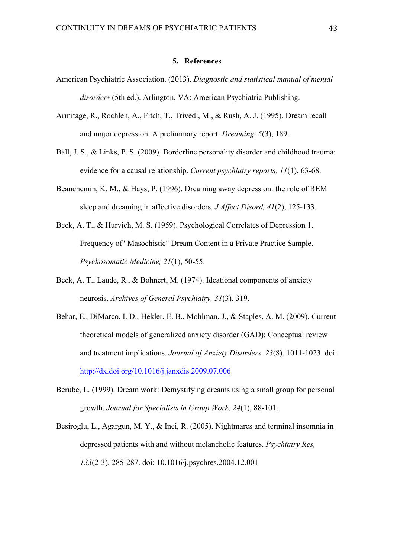#### **5. References**

- American Psychiatric Association. (2013). *Diagnostic and statistical manual of mental disorders* (5th ed.). Arlington, VA: American Psychiatric Publishing.
- Armitage, R., Rochlen, A., Fitch, T., Trivedi, M., & Rush, A. J. (1995). Dream recall and major depression: A preliminary report. *Dreaming, 5*(3), 189.
- Ball, J. S., & Links, P. S. (2009). Borderline personality disorder and childhood trauma: evidence for a causal relationship. *Current psychiatry reports, 11*(1), 63-68.
- Beauchemin, K. M., & Hays, P. (1996). Dreaming away depression: the role of REM sleep and dreaming in affective disorders. *J Affect Disord, 41*(2), 125-133.
- Beck, A. T., & Hurvich, M. S. (1959). Psychological Correlates of Depression 1. Frequency of" Masochistic" Dream Content in a Private Practice Sample. *Psychosomatic Medicine, 21*(1), 50-55.
- Beck, A. T., Laude, R., & Bohnert, M. (1974). Ideational components of anxiety neurosis. *Archives of General Psychiatry, 31*(3), 319.
- Behar, E., DiMarco, I. D., Hekler, E. B., Mohlman, J., & Staples, A. M. (2009). Current theoretical models of generalized anxiety disorder (GAD): Conceptual review and treatment implications. *Journal of Anxiety Disorders, 23*(8), 1011-1023. doi: http://dx.doi.org/10.1016/j.janxdis.2009.07.006
- Berube, L. (1999). Dream work: Demystifying dreams using a small group for personal growth. *Journal for Specialists in Group Work, 24*(1), 88-101.
- Besiroglu, L., Agargun, M. Y., & Inci, R. (2005). Nightmares and terminal insomnia in depressed patients with and without melancholic features. *Psychiatry Res, 133*(2-3), 285-287. doi: 10.1016/j.psychres.2004.12.001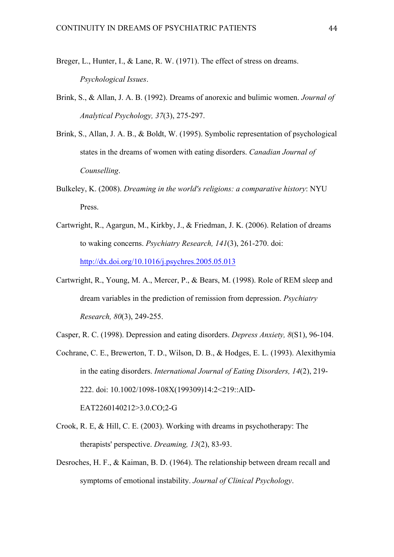- Breger, L., Hunter, I., & Lane, R. W. (1971). The effect of stress on dreams. *Psychological Issues*.
- Brink, S., & Allan, J. A. B. (1992). Dreams of anorexic and bulimic women. *Journal of Analytical Psychology, 37*(3), 275-297.
- Brink, S., Allan, J. A. B., & Boldt, W. (1995). Symbolic representation of psychological states in the dreams of women with eating disorders. *Canadian Journal of Counselling*.
- Bulkeley, K. (2008). *Dreaming in the world's religions: a comparative history*: NYU Press.
- Cartwright, R., Agargun, M., Kirkby, J., & Friedman, J. K. (2006). Relation of dreams to waking concerns. *Psychiatry Research, 141*(3), 261-270. doi: http://dx.doi.org/10.1016/j.psychres.2005.05.013
- Cartwright, R., Young, M. A., Mercer, P., & Bears, M. (1998). Role of REM sleep and dream variables in the prediction of remission from depression. *Psychiatry Research, 80*(3), 249-255.
- Casper, R. C. (1998). Depression and eating disorders. *Depress Anxiety, 8*(S1), 96-104.
- Cochrane, C. E., Brewerton, T. D., Wilson, D. B., & Hodges, E. L. (1993). Alexithymia in the eating disorders. *International Journal of Eating Disorders, 14*(2), 219- 222. doi: 10.1002/1098-108X(199309)14:2<219::AID-EAT2260140212>3.0.CO;2-G
- Crook, R. E, & Hill, C. E. (2003). Working with dreams in psychotherapy: The therapists' perspective. *Dreaming, 13*(2), 83-93.
- Desroches, H. F., & Kaiman, B. D. (1964). The relationship between dream recall and symptoms of emotional instability. *Journal of Clinical Psychology*.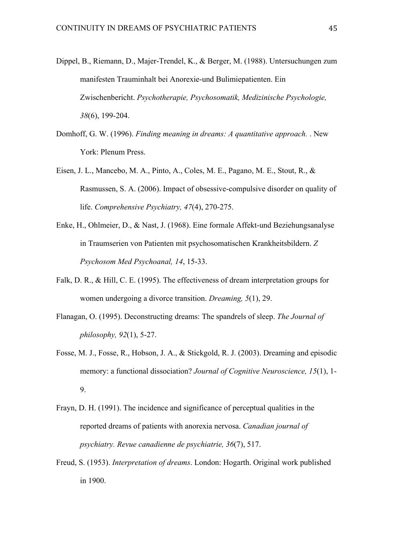- Dippel, B., Riemann, D., Majer-Trendel, K., & Berger, M. (1988). Untersuchungen zum manifesten Trauminhalt bei Anorexie-und Bulimiepatienten. Ein Zwischenbericht. *Psychotherapie, Psychosomatik, Medizinische Psychologie, 38*(6), 199-204.
- Domhoff, G. W. (1996). *Finding meaning in dreams: A quantitative approach.* . New York: Plenum Press.
- Eisen, J. L., Mancebo, M. A., Pinto, A., Coles, M. E., Pagano, M. E., Stout, R., & Rasmussen, S. A. (2006). Impact of obsessive-compulsive disorder on quality of life. *Comprehensive Psychiatry, 47*(4), 270-275.
- Enke, H., Ohlmeier, D., & Nast, J. (1968). Eine formale Affekt-und Beziehungsanalyse in Traumserien von Patienten mit psychosomatischen Krankheitsbildern. *Z Psychosom Med Psychoanal, 14*, 15-33.
- Falk, D. R., & Hill, C. E. (1995). The effectiveness of dream interpretation groups for women undergoing a divorce transition. *Dreaming, 5*(1), 29.
- Flanagan, O. (1995). Deconstructing dreams: The spandrels of sleep. *The Journal of philosophy, 92*(1), 5-27.
- Fosse, M. J., Fosse, R., Hobson, J. A., & Stickgold, R. J. (2003). Dreaming and episodic memory: a functional dissociation? *Journal of Cognitive Neuroscience, 15*(1), 1- 9.
- Frayn, D. H. (1991). The incidence and significance of perceptual qualities in the reported dreams of patients with anorexia nervosa. *Canadian journal of psychiatry. Revue canadienne de psychiatrie, 36*(7), 517.
- Freud, S. (1953). *Interpretation of dreams*. London: Hogarth. Original work published in 1900.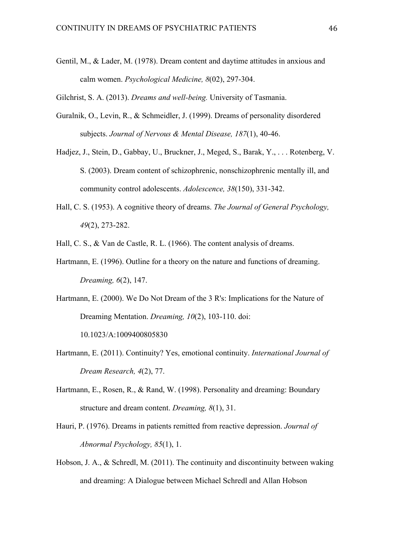Gentil, M., & Lader, M. (1978). Dream content and daytime attitudes in anxious and calm women. *Psychological Medicine, 8*(02), 297-304.

Gilchrist, S. A. (2013). *Dreams and well-being.* University of Tasmania.

- Guralnik, O., Levin, R., & Schmeidler, J. (1999). Dreams of personality disordered subjects. *Journal of Nervous & Mental Disease, 187*(1), 40-46.
- Hadjez, J., Stein, D., Gabbay, U., Bruckner, J., Meged, S., Barak, Y., . . . Rotenberg, V. S. (2003). Dream content of schizophrenic, nonschizophrenic mentally ill, and community control adolescents. *Adolescence, 38*(150), 331-342.
- Hall, C. S. (1953). A cognitive theory of dreams. *The Journal of General Psychology, 49*(2), 273-282.
- Hall, C. S., & Van de Castle, R. L. (1966). The content analysis of dreams.
- Hartmann, E. (1996). Outline for a theory on the nature and functions of dreaming. *Dreaming, 6*(2), 147.
- Hartmann, E. (2000). We Do Not Dream of the 3 R's: Implications for the Nature of Dreaming Mentation. *Dreaming, 10*(2), 103-110. doi: 10.1023/A:1009400805830
- Hartmann, E. (2011). Continuity? Yes, emotional continuity. *International Journal of Dream Research, 4*(2), 77.
- Hartmann, E., Rosen, R., & Rand, W. (1998). Personality and dreaming: Boundary structure and dream content. *Dreaming, 8*(1), 31.
- Hauri, P. (1976). Dreams in patients remitted from reactive depression. *Journal of Abnormal Psychology, 85*(1), 1.
- Hobson, J. A., & Schredl, M. (2011). The continuity and discontinuity between waking and dreaming: A Dialogue between Michael Schredl and Allan Hobson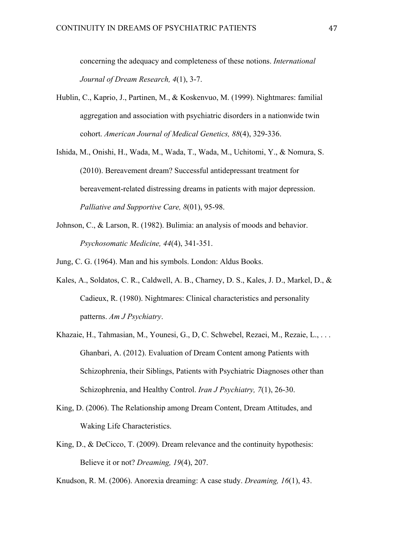concerning the adequacy and completeness of these notions. *International Journal of Dream Research, 4*(1), 3-7.

- Hublin, C., Kaprio, J., Partinen, M., & Koskenvuo, M. (1999). Nightmares: familial aggregation and association with psychiatric disorders in a nationwide twin cohort. *American Journal of Medical Genetics, 88*(4), 329-336.
- Ishida, M., Onishi, H., Wada, M., Wada, T., Wada, M., Uchitomi, Y., & Nomura, S. (2010). Bereavement dream? Successful antidepressant treatment for bereavement-related distressing dreams in patients with major depression. *Palliative and Supportive Care, 8*(01), 95-98.
- Johnson, C., & Larson, R. (1982). Bulimia: an analysis of moods and behavior. *Psychosomatic Medicine, 44*(4), 341-351.
- Jung, C. G. (1964). Man and his symbols. London: Aldus Books.
- Kales, A., Soldatos, C. R., Caldwell, A. B., Charney, D. S., Kales, J. D., Markel, D., & Cadieux, R. (1980). Nightmares: Clinical characteristics and personality patterns. *Am J Psychiatry*.
- Khazaie, H., Tahmasian, M., Younesi, G., D, C. Schwebel, Rezaei, M., Rezaie, L., . . . Ghanbari, A. (2012). Evaluation of Dream Content among Patients with Schizophrenia, their Siblings, Patients with Psychiatric Diagnoses other than Schizophrenia, and Healthy Control. *Iran J Psychiatry, 7*(1), 26-30.
- King, D. (2006). The Relationship among Dream Content, Dream Attitudes, and Waking Life Characteristics.
- King, D., & DeCicco, T. (2009). Dream relevance and the continuity hypothesis: Believe it or not? *Dreaming, 19*(4), 207.

Knudson, R. M. (2006). Anorexia dreaming: A case study. *Dreaming, 16*(1), 43.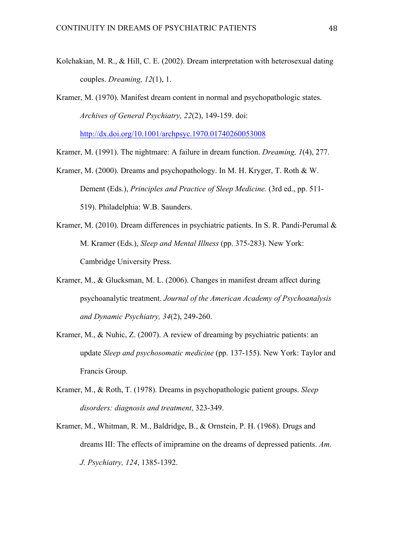- Kolchakian, M. R., & Hill, C. E. (2002). Dream interpretation with heterosexual dating couples. *Dreaming, 12*(1), 1.
- Kramer, M. (1970). Manifest dream content in normal and psychopathologic states. *Archives of General Psychiatry, 22*(2), 149-159. doi:

http://dx.doi.org/10.1001/archpsyc.1970.01740260053008

Kramer, M. (1991). The nightmare: A failure in dream function. *Dreaming, 1*(4), 277.

- Kramer, M. (2000). Dreams and psychopathology. In M. H. Kryger, T. Roth & W. Dement (Eds.), *Principles and Practice of Sleep Medicine.* (3rd ed., pp. 511- 519). Philadelphia: W.B. Saunders.
- Kramer, M. (2010). Dream differences in psychiatric patients. In S. R. Pandi-Perumal & M. Kramer (Eds.), *Sleep and Mental Illness* (pp. 375-283). New York: Cambridge University Press.
- Kramer, M., & Glucksman, M. L. (2006). Changes in manifest dream affect during psychoanalytic treatment. *Journal of the American Academy of Psychoanalysis and Dynamic Psychiatry, 34*(2), 249-260.
- Kramer, M., & Nuhic, Z. (2007). A review of dreaming by psychiatric patients: an update *Sleep and psychosomatic medicine* (pp. 137-155). New York: Taylor and Francis Group.
- Kramer, M., & Roth, T. (1978). Dreams in psychopathologic patient groups. *Sleep disorders: diagnosis and treatment*, 323-349.
- Kramer, M., Whitman, R. M., Baldridge, B., & Ornstein, P. H. (1968). Drugs and dreams III: The effects of imipramine on the dreams of depressed patients. *Am. J. Psychiatry, 124*, 1385-1392.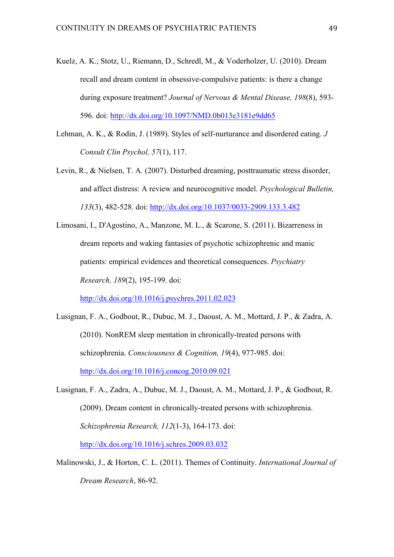- Kuelz, A. K., Stotz, U., Riemann, D., Schredl, M., & Voderholzer, U. (2010). Dream recall and dream content in obsessive-compulsive patients: is there a change during exposure treatment? *Journal of Nervous & Mental Disease, 198*(8), 593- 596. doi: http://dx.doi.org/10.1097/NMD.0b013e3181e9dd65
- Lehman, A. K., & Rodin, J. (1989). Styles of self-nurturance and disordered eating. *J Consult Clin Psychol, 57*(1), 117.
- Levin, R., & Nielsen, T. A. (2007). Disturbed dreaming, posttraumatic stress disorder, and affect distress: A review and neurocognitive model. *Psychological Bulletin, 133*(3), 482-528. doi: http://dx.doi.org/10.1037/0033-2909.133.3.482
- Limosani, I., D'Agostino, A., Manzone, M. L., & Scarone, S. (2011). Bizarreness in dream reports and waking fantasies of psychotic schizophrenic and manic patients: empirical evidences and theoretical consequences. *Psychiatry Research, 189*(2), 195-199. doi:

http://dx.doi.org/10.1016/j.psychres.2011.02.023

- Lusignan, F. A., Godbout, R., Dubuc, M. J., Daoust, A. M., Mottard, J. P., & Zadra, A. (2010). NonREM sleep mentation in chronically-treated persons with schizophrenia. *Consciousness & Cognition, 19*(4), 977-985. doi: http://dx.doi.org/10.1016/j.concog.2010.09.021
- Lusignan, F. A., Zadra, A., Dubuc, M. J., Daoust, A. M., Mottard, J. P., & Godbout, R. (2009). Dream content in chronically-treated persons with schizophrenia. *Schizophrenia Research, 112*(1-3), 164-173. doi: http://dx.doi.org/10.1016/j.schres.2009.03.032
- Malinowski, J., & Horton, C. L. (2011). Themes of Continuity. *International Journal of Dream Research*, 86-92.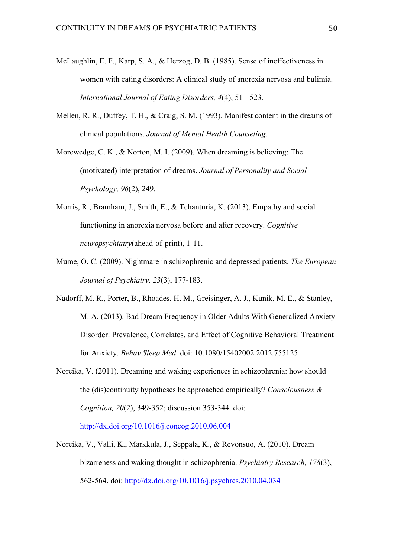- McLaughlin, E. F., Karp, S. A., & Herzog, D. B. (1985). Sense of ineffectiveness in women with eating disorders: A clinical study of anorexia nervosa and bulimia. *International Journal of Eating Disorders, 4*(4), 511-523.
- Mellen, R. R., Duffey, T. H., & Craig, S. M. (1993). Manifest content in the dreams of clinical populations. *Journal of Mental Health Counseling*.
- Morewedge, C. K., & Norton, M. I. (2009). When dreaming is believing: The (motivated) interpretation of dreams. *Journal of Personality and Social Psychology, 96*(2), 249.
- Morris, R., Bramham, J., Smith, E., & Tchanturia, K. (2013). Empathy and social functioning in anorexia nervosa before and after recovery. *Cognitive neuropsychiatry*(ahead-of-print), 1-11.
- Mume, O. C. (2009). Nightmare in schizophrenic and depressed patients. *The European Journal of Psychiatry, 23*(3), 177-183.
- Nadorff, M. R., Porter, B., Rhoades, H. M., Greisinger, A. J., Kunik, M. E., & Stanley, M. A. (2013). Bad Dream Frequency in Older Adults With Generalized Anxiety Disorder: Prevalence, Correlates, and Effect of Cognitive Behavioral Treatment for Anxiety. *Behav Sleep Med*. doi: 10.1080/15402002.2012.755125
- Noreika, V. (2011). Dreaming and waking experiences in schizophrenia: how should the (dis)continuity hypotheses be approached empirically? *Consciousness & Cognition, 20*(2), 349-352; discussion 353-344. doi:

http://dx.doi.org/10.1016/j.concog.2010.06.004

Noreika, V., Valli, K., Markkula, J., Seppala, K., & Revonsuo, A. (2010). Dream bizarreness and waking thought in schizophrenia. *Psychiatry Research, 178*(3), 562-564. doi: http://dx.doi.org/10.1016/j.psychres.2010.04.034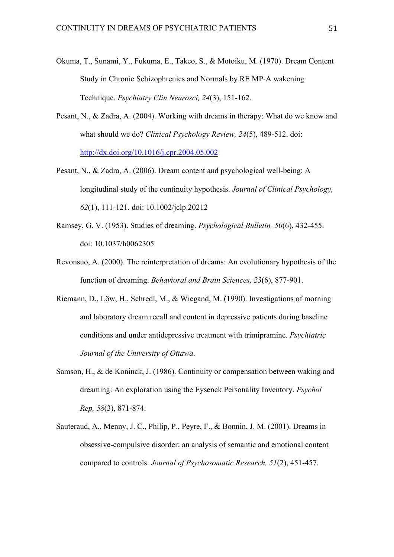- Okuma, T., Sunami, Y., Fukuma, E., Takeo, S., & Motoiku, M. (1970). Dream Content Study in Chronic Schizophrenics and Normals by RE MP‐A wakening Technique. *Psychiatry Clin Neurosci, 24*(3), 151-162.
- Pesant, N., & Zadra, A. (2004). Working with dreams in therapy: What do we know and what should we do? *Clinical Psychology Review, 24*(5), 489-512. doi: http://dx.doi.org/10.1016/j.cpr.2004.05.002
- Pesant, N., & Zadra, A. (2006). Dream content and psychological well-being: A longitudinal study of the continuity hypothesis. *Journal of Clinical Psychology, 62*(1), 111-121. doi: 10.1002/jclp.20212
- Ramsey, G. V. (1953). Studies of dreaming. *Psychological Bulletin, 50*(6), 432-455. doi: 10.1037/h0062305
- Revonsuo, A. (2000). The reinterpretation of dreams: An evolutionary hypothesis of the function of dreaming. *Behavioral and Brain Sciences, 23*(6), 877-901.
- Riemann, D., Löw, H., Schredl, M., & Wiegand, M. (1990). Investigations of morning and laboratory dream recall and content in depressive patients during baseline conditions and under antidepressive treatment with trimipramine. *Psychiatric Journal of the University of Ottawa*.
- Samson, H., & de Koninck, J. (1986). Continuity or compensation between waking and dreaming: An exploration using the Eysenck Personality Inventory. *Psychol Rep, 58*(3), 871-874.
- Sauteraud, A., Menny, J. C., Philip, P., Peyre, F., & Bonnin, J. M. (2001). Dreams in obsessive-compulsive disorder: an analysis of semantic and emotional content compared to controls. *Journal of Psychosomatic Research, 51*(2), 451-457.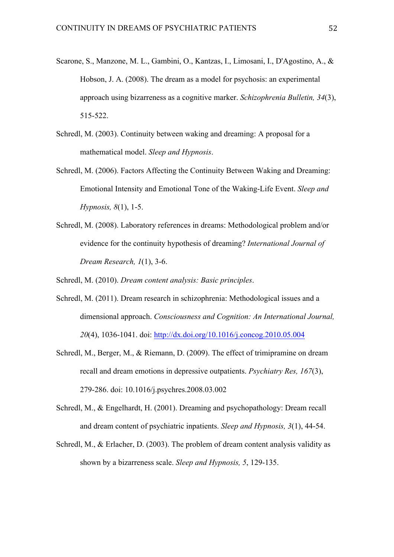- Scarone, S., Manzone, M. L., Gambini, O., Kantzas, I., Limosani, I., D'Agostino, A., & Hobson, J. A. (2008). The dream as a model for psychosis: an experimental approach using bizarreness as a cognitive marker. *Schizophrenia Bulletin, 34*(3), 515-522.
- Schredl, M. (2003). Continuity between waking and dreaming: A proposal for a mathematical model. *Sleep and Hypnosis*.
- Schredl, M. (2006). Factors Affecting the Continuity Between Waking and Dreaming: Emotional Intensity and Emotional Tone of the Waking-Life Event. *Sleep and Hypnosis, 8*(1), 1-5.
- Schredl, M. (2008). Laboratory references in dreams: Methodological problem and/or evidence for the continuity hypothesis of dreaming? *International Journal of Dream Research, 1*(1), 3-6.
- Schredl, M. (2010). *Dream content analysis: Basic principles*.
- Schredl, M. (2011). Dream research in schizophrenia: Methodological issues and a dimensional approach. *Consciousness and Cognition: An International Journal, 20*(4), 1036-1041. doi: http://dx.doi.org/10.1016/j.concog.2010.05.004
- Schredl, M., Berger, M., & Riemann, D. (2009). The effect of trimipramine on dream recall and dream emotions in depressive outpatients. *Psychiatry Res, 167*(3), 279-286. doi: 10.1016/j.psychres.2008.03.002
- Schredl, M., & Engelhardt, H. (2001). Dreaming and psychopathology: Dream recall and dream content of psychiatric inpatients. *Sleep and Hypnosis, 3*(1), 44-54.
- Schredl, M., & Erlacher, D. (2003). The problem of dream content analysis validity as shown by a bizarreness scale. *Sleep and Hypnosis, 5*, 129-135.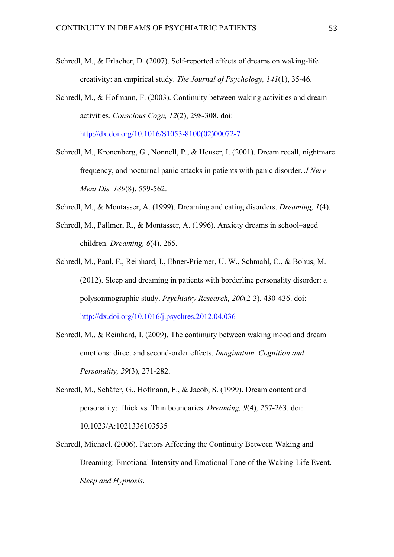- Schredl, M., & Erlacher, D. (2007). Self-reported effects of dreams on waking-life creativity: an empirical study. *The Journal of Psychology, 141*(1), 35-46.
- Schredl, M., & Hofmann, F. (2003). Continuity between waking activities and dream activities. *Conscious Cogn, 12*(2), 298-308. doi: http://dx.doi.org/10.1016/S1053-8100(02)00072-7
- Schredl, M., Kronenberg, G., Nonnell, P., & Heuser, I. (2001). Dream recall, nightmare frequency, and nocturnal panic attacks in patients with panic disorder. *J Nerv Ment Dis, 189*(8), 559-562.
- Schredl, M., & Montasser, A. (1999). Dreaming and eating disorders. *Dreaming, 1*(4).
- Schredl, M., Pallmer, R., & Montasser, A. (1996). Anxiety dreams in school–aged children. *Dreaming, 6*(4), 265.
- Schredl, M., Paul, F., Reinhard, I., Ebner-Priemer, U. W., Schmahl, C., & Bohus, M. (2012). Sleep and dreaming in patients with borderline personality disorder: a polysomnographic study. *Psychiatry Research, 200*(2-3), 430-436. doi: http://dx.doi.org/10.1016/j.psychres.2012.04.036
- Schredl, M., & Reinhard, I. (2009). The continuity between waking mood and dream emotions: direct and second-order effects. *Imagination, Cognition and Personality, 29*(3), 271-282.
- Schredl, M., Schäfer, G., Hofmann, F., & Jacob, S. (1999). Dream content and personality: Thick vs. Thin boundaries. *Dreaming, 9*(4), 257-263. doi: 10.1023/A:1021336103535
- Schredl, Michael. (2006). Factors Affecting the Continuity Between Waking and Dreaming: Emotional Intensity and Emotional Tone of the Waking-Life Event. *Sleep and Hypnosis*.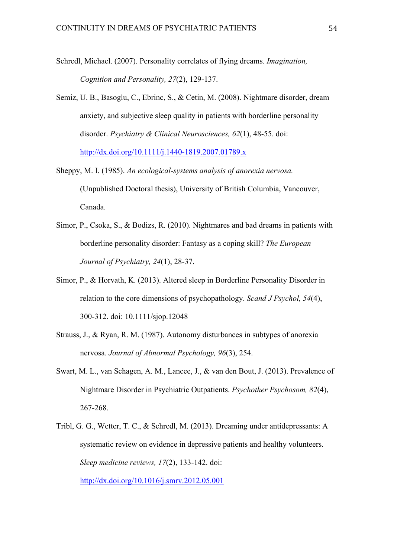- Schredl, Michael. (2007). Personality correlates of flying dreams. *Imagination, Cognition and Personality, 27*(2), 129-137.
- Semiz, U. B., Basoglu, C., Ebrinc, S., & Cetin, M. (2008). Nightmare disorder, dream anxiety, and subjective sleep quality in patients with borderline personality disorder. *Psychiatry & Clinical Neurosciences, 62*(1), 48-55. doi: http://dx.doi.org/10.1111/j.1440-1819.2007.01789.x
- Sheppy, M. I. (1985). *An ecological-systems analysis of anorexia nervosa.* (Unpublished Doctoral thesis), University of British Columbia, Vancouver, Canada.
- Simor, P., Csoka, S., & Bodizs, R. (2010). Nightmares and bad dreams in patients with borderline personality disorder: Fantasy as a coping skill? *The European Journal of Psychiatry, 24*(1), 28-37.
- Simor, P., & Horvath, K. (2013). Altered sleep in Borderline Personality Disorder in relation to the core dimensions of psychopathology. *Scand J Psychol, 54*(4), 300-312. doi: 10.1111/sjop.12048
- Strauss, J., & Ryan, R. M. (1987). Autonomy disturbances in subtypes of anorexia nervosa. *Journal of Abnormal Psychology, 96*(3), 254.
- Swart, M. L., van Schagen, A. M., Lancee, J., & van den Bout, J. (2013). Prevalence of Nightmare Disorder in Psychiatric Outpatients. *Psychother Psychosom, 82*(4), 267-268.
- Tribl, G. G., Wetter, T. C., & Schredl, M. (2013). Dreaming under antidepressants: A systematic review on evidence in depressive patients and healthy volunteers. *Sleep medicine reviews, 17*(2), 133-142. doi:

http://dx.doi.org/10.1016/j.smrv.2012.05.001